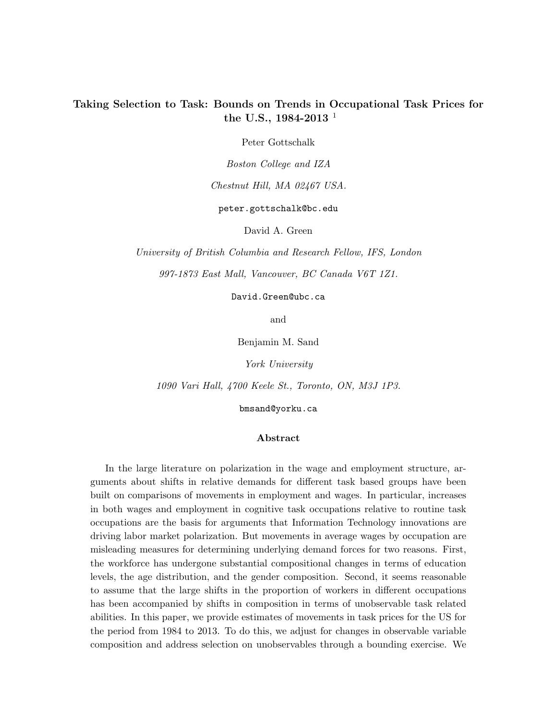# Taking Selection to Task: Bounds on Trends in Occupational Task Prices for the U.S., 1984-2013<sup>1</sup>

Peter Gottschalk

Boston College and IZA

Chestnut Hill, MA 02467 USA.

peter.gottschalk@bc.edu

David A. Green

University of British Columbia and Research Fellow, IFS, London 997-1873 East Mall, Vancouver, BC Canada V6T 1Z1.

David.Green@ubc.ca

and

Benjamin M. Sand

York University

1090 Vari Hall, 4700 Keele St., Toronto, ON, M3J 1P3.

bmsand@yorku.ca

### Abstract

In the large literature on polarization in the wage and employment structure, arguments about shifts in relative demands for different task based groups have been built on comparisons of movements in employment and wages. In particular, increases in both wages and employment in cognitive task occupations relative to routine task occupations are the basis for arguments that Information Technology innovations are driving labor market polarization. But movements in average wages by occupation are misleading measures for determining underlying demand forces for two reasons. First, the workforce has undergone substantial compositional changes in terms of education levels, the age distribution, and the gender composition. Second, it seems reasonable to assume that the large shifts in the proportion of workers in different occupations has been accompanied by shifts in composition in terms of unobservable task related abilities. In this paper, we provide estimates of movements in task prices for the US for the period from 1984 to 2013. To do this, we adjust for changes in observable variable composition and address selection on unobservables through a bounding exercise. We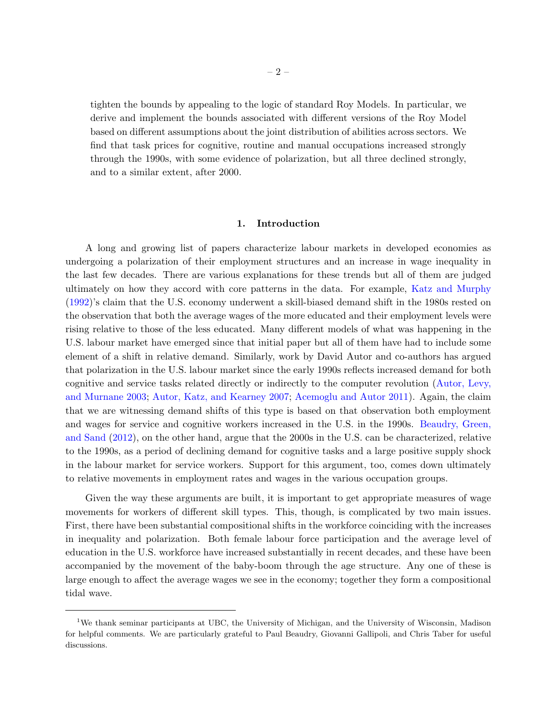tighten the bounds by appealing to the logic of standard Roy Models. In particular, we derive and implement the bounds associated with different versions of the Roy Model based on different assumptions about the joint distribution of abilities across sectors. We find that task prices for cognitive, routine and manual occupations increased strongly through the 1990s, with some evidence of polarization, but all three declined strongly, and to a similar extent, after 2000.

# 1. Introduction

A long and growing list of papers characterize labour markets in developed economies as undergoing a polarization of their employment structures and an increase in wage inequality in the last few decades. There are various explanations for these trends but all of them are judged ultimately on how they accord with core patterns in the data. For example, [Katz and Murphy](#page-46-0) [\(1992\)](#page-46-0)'s claim that the U.S. economy underwent a skill-biased demand shift in the 1980s rested on the observation that both the average wages of the more educated and their employment levels were rising relative to those of the less educated. Many different models of what was happening in the U.S. labour market have emerged since that initial paper but all of them have had to include some element of a shift in relative demand. Similarly, work by David Autor and co-authors has argued that polarization in the U.S. labour market since the early 1990s reflects increased demand for both cognitive and service tasks related directly or indirectly to the computer revolution [\(Autor, Levy,](#page-45-0) [and Murnane](#page-45-0) [2003;](#page-45-0) [Autor, Katz, and Kearney](#page-45-1) [2007;](#page-45-1) [Acemoglu and Autor](#page-45-2) [2011\)](#page-45-2). Again, the claim that we are witnessing demand shifts of this type is based on that observation both employment and wages for service and cognitive workers increased in the U.S. in the 1990s. [Beaudry, Green,](#page-45-3) [and Sand](#page-45-3) [\(2012\)](#page-45-3), on the other hand, argue that the 2000s in the U.S. can be characterized, relative to the 1990s, as a period of declining demand for cognitive tasks and a large positive supply shock in the labour market for service workers. Support for this argument, too, comes down ultimately to relative movements in employment rates and wages in the various occupation groups.

Given the way these arguments are built, it is important to get appropriate measures of wage movements for workers of different skill types. This, though, is complicated by two main issues. First, there have been substantial compositional shifts in the workforce coinciding with the increases in inequality and polarization. Both female labour force participation and the average level of education in the U.S. workforce have increased substantially in recent decades, and these have been accompanied by the movement of the baby-boom through the age structure. Any one of these is large enough to affect the average wages we see in the economy; together they form a compositional tidal wave.

<sup>1</sup>We thank seminar participants at UBC, the University of Michigan, and the University of Wisconsin, Madison for helpful comments. We are particularly grateful to Paul Beaudry, Giovanni Gallipoli, and Chris Taber for useful discussions.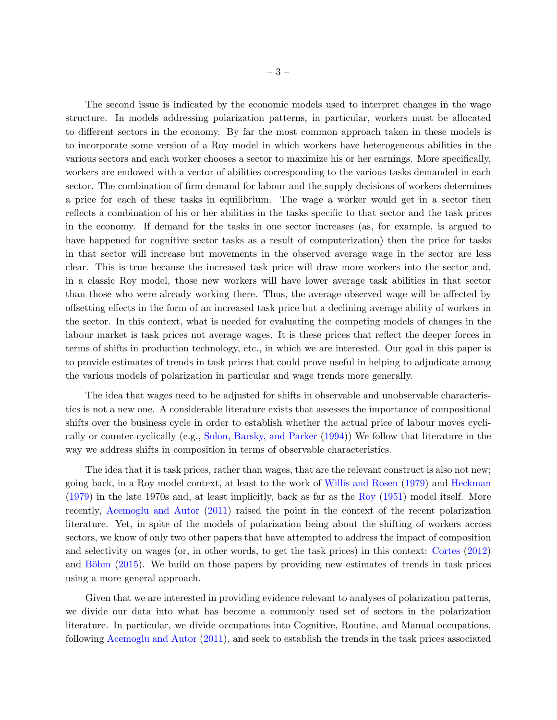The second issue is indicated by the economic models used to interpret changes in the wage structure. In models addressing polarization patterns, in particular, workers must be allocated to different sectors in the economy. By far the most common approach taken in these models is to incorporate some version of a Roy model in which workers have heterogeneous abilities in the various sectors and each worker chooses a sector to maximize his or her earnings. More specifically, workers are endowed with a vector of abilities corresponding to the various tasks demanded in each sector. The combination of firm demand for labour and the supply decisions of workers determines a price for each of these tasks in equilibrium. The wage a worker would get in a sector then reflects a combination of his or her abilities in the tasks specific to that sector and the task prices in the economy. If demand for the tasks in one sector increases (as, for example, is argued to have happened for cognitive sector tasks as a result of computerization) then the price for tasks in that sector will increase but movements in the observed average wage in the sector are less clear. This is true because the increased task price will draw more workers into the sector and, in a classic Roy model, those new workers will have lower average task abilities in that sector than those who were already working there. Thus, the average observed wage will be affected by offsetting effects in the form of an increased task price but a declining average ability of workers in the sector. In this context, what is needed for evaluating the competing models of changes in the labour market is task prices not average wages. It is these prices that reflect the deeper forces in terms of shifts in production technology, etc., in which we are interested. Our goal in this paper is to provide estimates of trends in task prices that could prove useful in helping to adjudicate among the various models of polarization in particular and wage trends more generally.

The idea that wages need to be adjusted for shifts in observable and unobservable characteristics is not a new one. A considerable literature exists that assesses the importance of compositional shifts over the business cycle in order to establish whether the actual price of labour moves cyclically or counter-cyclically (e.g., [Solon, Barsky, and Parker](#page-47-0) [\(1994\)](#page-47-0)) We follow that literature in the way we address shifts in composition in terms of observable characteristics.

The idea that it is task prices, rather than wages, that are the relevant construct is also not new; going back, in a Roy model context, at least to the work of [Willis and Rosen](#page-47-1) [\(1979\)](#page-47-1) and [Heckman](#page-46-1) [\(1979\)](#page-46-1) in the late 1970s and, at least implicitly, back as far as the [Roy](#page-46-2) [\(1951\)](#page-46-2) model itself. More recently, [Acemoglu and Autor](#page-45-2) [\(2011\)](#page-45-2) raised the point in the context of the recent polarization literature. Yet, in spite of the models of polarization being about the shifting of workers across sectors, we know of only two other papers that have attempted to address the impact of composition and selectivity on wages (or, in other words, to get the task prices) in this context: [Cortes](#page-45-4) [\(2012\)](#page-45-4) and Böhm  $(2015)$ . We build on those papers by providing new estimates of trends in task prices using a more general approach.

Given that we are interested in providing evidence relevant to analyses of polarization patterns, we divide our data into what has become a commonly used set of sectors in the polarization literature. In particular, we divide occupations into Cognitive, Routine, and Manual occupations, following [Acemoglu and Autor](#page-45-2) [\(2011\)](#page-45-2), and seek to establish the trends in the task prices associated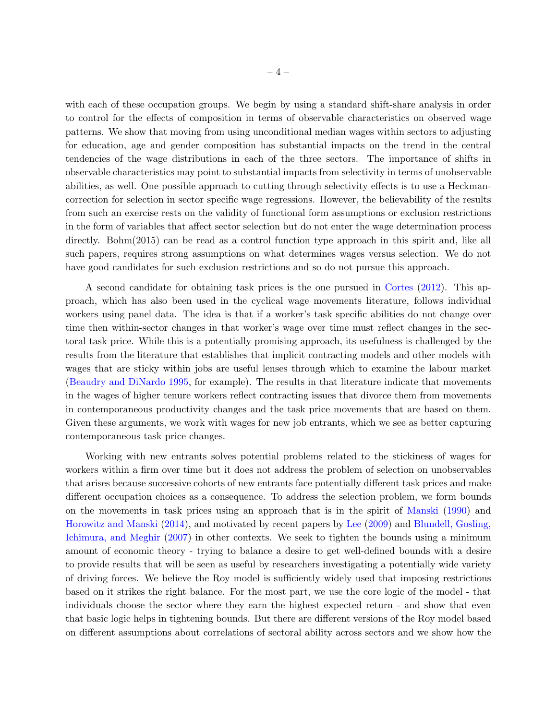with each of these occupation groups. We begin by using a standard shift-share analysis in order to control for the effects of composition in terms of observable characteristics on observed wage patterns. We show that moving from using unconditional median wages within sectors to adjusting for education, age and gender composition has substantial impacts on the trend in the central tendencies of the wage distributions in each of the three sectors. The importance of shifts in observable characteristics may point to substantial impacts from selectivity in terms of unobservable abilities, as well. One possible approach to cutting through selectivity effects is to use a Heckmancorrection for selection in sector specific wage regressions. However, the believability of the results from such an exercise rests on the validity of functional form assumptions or exclusion restrictions in the form of variables that affect sector selection but do not enter the wage determination process directly. Bohm(2015) can be read as a control function type approach in this spirit and, like all such papers, requires strong assumptions on what determines wages versus selection. We do not have good candidates for such exclusion restrictions and so do not pursue this approach.

A second candidate for obtaining task prices is the one pursued in [Cortes](#page-45-4) [\(2012\)](#page-45-4). This approach, which has also been used in the cyclical wage movements literature, follows individual workers using panel data. The idea is that if a worker's task specific abilities do not change over time then within-sector changes in that worker's wage over time must reflect changes in the sectoral task price. While this is a potentially promising approach, its usefulness is challenged by the results from the literature that establishes that implicit contracting models and other models with wages that are sticky within jobs are useful lenses through which to examine the labour market [\(Beaudry and DiNardo](#page-45-6) [1995,](#page-45-6) for example). The results in that literature indicate that movements in the wages of higher tenure workers reflect contracting issues that divorce them from movements in contemporaneous productivity changes and the task price movements that are based on them. Given these arguments, we work with wages for new job entrants, which we see as better capturing contemporaneous task price changes.

Working with new entrants solves potential problems related to the stickiness of wages for workers within a firm over time but it does not address the problem of selection on unobservables that arises because successive cohorts of new entrants face potentially different task prices and make different occupation choices as a consequence. To address the selection problem, we form bounds on the movements in task prices using an approach that is in the spirit of [Manski](#page-46-3) [\(1990\)](#page-46-3) and [Horowitz and Manski](#page-46-4) [\(2014\)](#page-46-4), and motivated by recent papers by [Lee](#page-46-5) [\(2009\)](#page-46-5) and [Blundell, Gosling,](#page-45-7) [Ichimura, and Meghir](#page-45-7) [\(2007\)](#page-45-7) in other contexts. We seek to tighten the bounds using a minimum amount of economic theory - trying to balance a desire to get well-defined bounds with a desire to provide results that will be seen as useful by researchers investigating a potentially wide variety of driving forces. We believe the Roy model is sufficiently widely used that imposing restrictions based on it strikes the right balance. For the most part, we use the core logic of the model - that individuals choose the sector where they earn the highest expected return - and show that even that basic logic helps in tightening bounds. But there are different versions of the Roy model based on different assumptions about correlations of sectoral ability across sectors and we show how the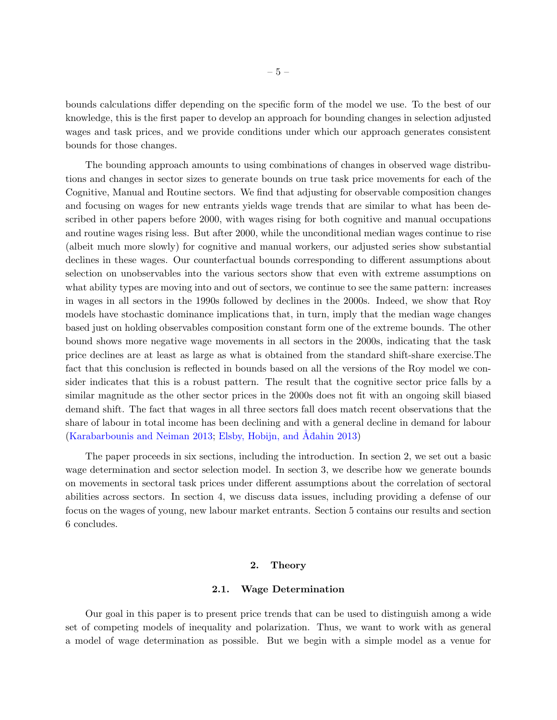bounds calculations differ depending on the specific form of the model we use. To the best of our knowledge, this is the first paper to develop an approach for bounding changes in selection adjusted wages and task prices, and we provide conditions under which our approach generates consistent bounds for those changes.

The bounding approach amounts to using combinations of changes in observed wage distributions and changes in sector sizes to generate bounds on true task price movements for each of the Cognitive, Manual and Routine sectors. We find that adjusting for observable composition changes and focusing on wages for new entrants yields wage trends that are similar to what has been described in other papers before 2000, with wages rising for both cognitive and manual occupations and routine wages rising less. But after 2000, while the unconditional median wages continue to rise (albeit much more slowly) for cognitive and manual workers, our adjusted series show substantial declines in these wages. Our counterfactual bounds corresponding to different assumptions about selection on unobservables into the various sectors show that even with extreme assumptions on what ability types are moving into and out of sectors, we continue to see the same pattern: increases in wages in all sectors in the 1990s followed by declines in the 2000s. Indeed, we show that Roy models have stochastic dominance implications that, in turn, imply that the median wage changes based just on holding observables composition constant form one of the extreme bounds. The other bound shows more negative wage movements in all sectors in the 2000s, indicating that the task price declines are at least as large as what is obtained from the standard shift-share exercise.The fact that this conclusion is reflected in bounds based on all the versions of the Roy model we consider indicates that this is a robust pattern. The result that the cognitive sector price falls by a similar magnitude as the other sector prices in the 2000s does not fit with an ongoing skill biased demand shift. The fact that wages in all three sectors fall does match recent observations that the share of labour in total income has been declining and with a general decline in demand for labour  $(Karabarbounis and Neiman 2013; Elsby, Hobijn, and Adahin 2013)$  $(Karabarbounis and Neiman 2013; Elsby, Hobijn, and Adahin 2013)$  $(Karabarbounis and Neiman 2013; Elsby, Hobijn, and Adahin 2013)$  $(Karabarbounis and Neiman 2013; Elsby, Hobijn, and Adahin 2013)$  $(Karabarbounis and Neiman 2013; Elsby, Hobijn, and Adahin 2013)$  $(Karabarbounis and Neiman 2013; Elsby, Hobijn, and Adahin 2013)$  $(Karabarbounis and Neiman 2013; Elsby, Hobijn, and Adahin 2013)$ 

The paper proceeds in six sections, including the introduction. In section 2, we set out a basic wage determination and sector selection model. In section 3, we describe how we generate bounds on movements in sectoral task prices under different assumptions about the correlation of sectoral abilities across sectors. In section 4, we discuss data issues, including providing a defense of our focus on the wages of young, new labour market entrants. Section 5 contains our results and section 6 concludes.

# 2. Theory

### 2.1. Wage Determination

Our goal in this paper is to present price trends that can be used to distinguish among a wide set of competing models of inequality and polarization. Thus, we want to work with as general a model of wage determination as possible. But we begin with a simple model as a venue for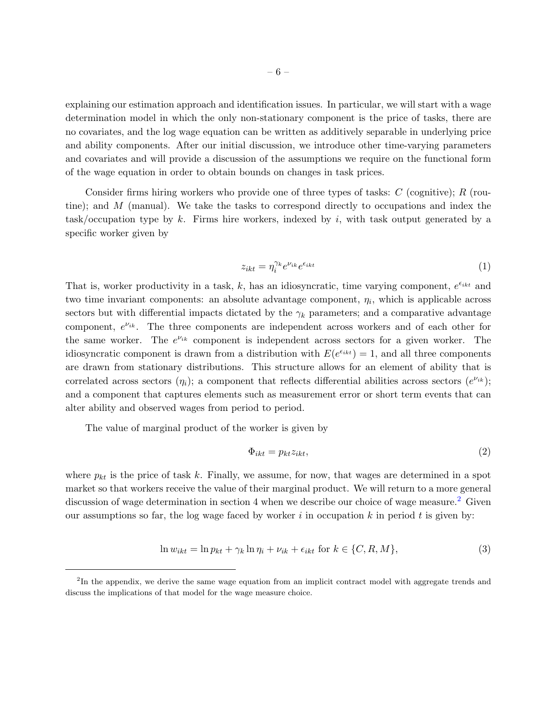explaining our estimation approach and identification issues. In particular, we will start with a wage determination model in which the only non-stationary component is the price of tasks, there are

no covariates, and the log wage equation can be written as additively separable in underlying price and ability components. After our initial discussion, we introduce other time-varying parameters and covariates and will provide a discussion of the assumptions we require on the functional form of the wage equation in order to obtain bounds on changes in task prices.

Consider firms hiring workers who provide one of three types of tasks:  $C$  (cognitive);  $R$  (routine); and M (manual). We take the tasks to correspond directly to occupations and index the task/occupation type by k. Firms hire workers, indexed by i, with task output generated by a specific worker given by

<span id="page-5-2"></span>
$$
z_{ikt} = \eta_i^{\gamma_k} e^{\nu_{ik}} e^{\epsilon_{ikt}} \tag{1}
$$

That is, worker productivity in a task, k, has an idiosyncratic, time varying component,  $e^{\epsilon_{ikt}}$  and two time invariant components: an absolute advantage component,  $\eta_i$ , which is applicable across sectors but with differential impacts dictated by the  $\gamma_k$  parameters; and a comparative advantage component,  $e^{\nu_{ik}}$ . The three components are independent across workers and of each other for the same worker. The  $e^{\nu_{ik}}$  component is independent across sectors for a given worker. The idiosyncratic component is drawn from a distribution with  $E(e^{\epsilon_{ikt}}) = 1$ , and all three components are drawn from stationary distributions. This structure allows for an element of ability that is correlated across sectors  $(\eta_i)$ ; a component that reflects differential abilities across sectors  $(e^{\nu_{ik}})$ ; and a component that captures elements such as measurement error or short term events that can alter ability and observed wages from period to period.

The value of marginal product of the worker is given by

$$
\Phi_{ikt} = p_{kt} z_{ikt},\tag{2}
$$

where  $p_{kt}$  is the price of task k. Finally, we assume, for now, that wages are determined in a spot market so that workers receive the value of their marginal product. We will return to a more general discussion of wage determination in section 4 when we describe our choice of wage measure.<sup>[2](#page-5-0)</sup> Given our assumptions so far, the log wage faced by worker  $i$  in occupation k in period t is given by:

<span id="page-5-1"></span>
$$
\ln w_{ikt} = \ln p_{kt} + \gamma_k \ln \eta_i + \nu_{ik} + \epsilon_{ikt} \text{ for } k \in \{C, R, M\},\tag{3}
$$

<span id="page-5-0"></span><sup>&</sup>lt;sup>2</sup>In the appendix, we derive the same wage equation from an implicit contract model with aggregate trends and discuss the implications of that model for the wage measure choice.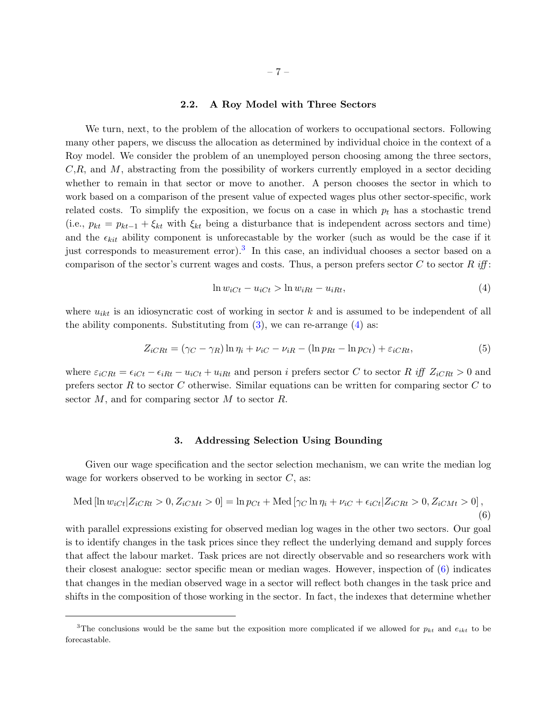### 2.2. A Roy Model with Three Sectors

We turn, next, to the problem of the allocation of workers to occupational sectors. Following many other papers, we discuss the allocation as determined by individual choice in the context of a Roy model. We consider the problem of an unemployed person choosing among the three sectors,  $C, R$ , and M, abstracting from the possibility of workers currently employed in a sector deciding whether to remain in that sector or move to another. A person chooses the sector in which to work based on a comparison of the present value of expected wages plus other sector-specific, work related costs. To simplify the exposition, we focus on a case in which  $p_t$  has a stochastic trend (i.e.,  $p_{kt} = p_{kt-1} + \xi_{kt}$  with  $\xi_{kt}$  being a disturbance that is independent across sectors and time) and the  $\epsilon_{kit}$  ability component is unforecastable by the worker (such as would be the case if it just corresponds to measurement error).<sup>[3](#page-6-0)</sup> In this case, an individual chooses a sector based on a comparison of the sector's current wages and costs. Thus, a person prefers sector C to sector R iff:

<span id="page-6-1"></span>
$$
\ln w_{iCt} - u_{iCt} > \ln w_{iRt} - u_{iRt},\tag{4}
$$

where  $u_{ikt}$  is an idiosyncratic cost of working in sector k and is assumed to be independent of all the ability components. Substituting from  $(3)$ , we can re-arrange  $(4)$  as:

<span id="page-6-3"></span>
$$
Z_{iCRt} = (\gamma_C - \gamma_R) \ln \eta_i + \nu_{iC} - \nu_{iR} - (\ln p_{Rt} - \ln p_{Ct}) + \varepsilon_{iCRt},
$$
\n
$$
(5)
$$

where  $\varepsilon_{iCRt} = \varepsilon_{iCt} - \varepsilon_{iRt} - u_{iCt} + u_{iRt}$  and person i prefers sector C to sector R iff  $Z_{iCRt} > 0$  and prefers sector R to sector C otherwise. Similar equations can be written for comparing sector C to sector  $M$ , and for comparing sector  $M$  to sector  $R$ .

#### 3. Addressing Selection Using Bounding

Given our wage specification and the sector selection mechanism, we can write the median log wage for workers observed to be working in sector  $C$ , as:

<span id="page-6-2"></span>Med [ln 
$$
w_{iCt} | Z_{iCRt} > 0, Z_{iCMt} > 0
$$
] = ln  $p_{Ct}$  + Med [ $\gamma_C$  ln  $\eta_i + \nu_{iC} + \epsilon_{iCt} | Z_{iCRt} > 0, Z_{iCMt} > 0$ ], (6)

with parallel expressions existing for observed median log wages in the other two sectors. Our goal is to identify changes in the task prices since they reflect the underlying demand and supply forces that affect the labour market. Task prices are not directly observable and so researchers work with their closest analogue: sector specific mean or median wages. However, inspection of  $(6)$  indicates that changes in the median observed wage in a sector will reflect both changes in the task price and shifts in the composition of those working in the sector. In fact, the indexes that determine whether

<span id="page-6-0"></span><sup>&</sup>lt;sup>3</sup>The conclusions would be the same but the exposition more complicated if we allowed for  $p_{kt}$  and  $e_{ikt}$  to be forecastable.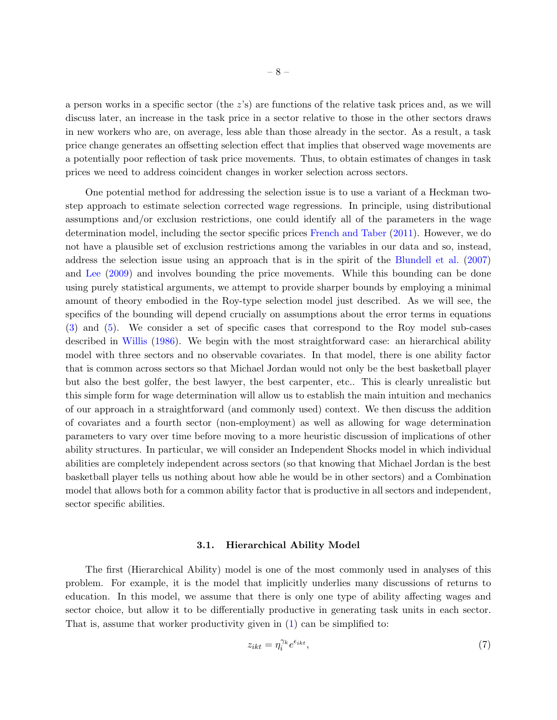a person works in a specific sector (the  $z$ 's) are functions of the relative task prices and, as we will discuss later, an increase in the task price in a sector relative to those in the other sectors draws in new workers who are, on average, less able than those already in the sector. As a result, a task price change generates an offsetting selection effect that implies that observed wage movements are a potentially poor reflection of task price movements. Thus, to obtain estimates of changes in task prices we need to address coincident changes in worker selection across sectors.

One potential method for addressing the selection issue is to use a variant of a Heckman twostep approach to estimate selection corrected wage regressions. In principle, using distributional assumptions and/or exclusion restrictions, one could identify all of the parameters in the wage determination model, including the sector specific prices [French and Taber](#page-46-7) [\(2011\)](#page-46-7). However, we do not have a plausible set of exclusion restrictions among the variables in our data and so, instead, address the selection issue using an approach that is in the spirit of the [Blundell et al.](#page-45-7) [\(2007\)](#page-45-7) and [Lee](#page-46-5) [\(2009\)](#page-46-5) and involves bounding the price movements. While this bounding can be done using purely statistical arguments, we attempt to provide sharper bounds by employing a minimal amount of theory embodied in the Roy-type selection model just described. As we will see, the specifics of the bounding will depend crucially on assumptions about the error terms in equations [\(3\)](#page-5-1) and [\(5\)](#page-6-3). We consider a set of specific cases that correspond to the Roy model sub-cases described in [Willis](#page-47-2) [\(1986\)](#page-47-2). We begin with the most straightforward case: an hierarchical ability model with three sectors and no observable covariates. In that model, there is one ability factor that is common across sectors so that Michael Jordan would not only be the best basketball player but also the best golfer, the best lawyer, the best carpenter, etc.. This is clearly unrealistic but this simple form for wage determination will allow us to establish the main intuition and mechanics of our approach in a straightforward (and commonly used) context. We then discuss the addition of covariates and a fourth sector (non-employment) as well as allowing for wage determination parameters to vary over time before moving to a more heuristic discussion of implications of other ability structures. In particular, we will consider an Independent Shocks model in which individual abilities are completely independent across sectors (so that knowing that Michael Jordan is the best basketball player tells us nothing about how able he would be in other sectors) and a Combination model that allows both for a common ability factor that is productive in all sectors and independent, sector specific abilities.

### 3.1. Hierarchical Ability Model

The first (Hierarchical Ability) model is one of the most commonly used in analyses of this problem. For example, it is the model that implicitly underlies many discussions of returns to education. In this model, we assume that there is only one type of ability affecting wages and sector choice, but allow it to be differentially productive in generating task units in each sector. That is, assume that worker productivity given in [\(1\)](#page-5-2) can be simplified to:

$$
z_{ikt} = \eta_i^{\gamma_k} e^{\epsilon_{ikt}},\tag{7}
$$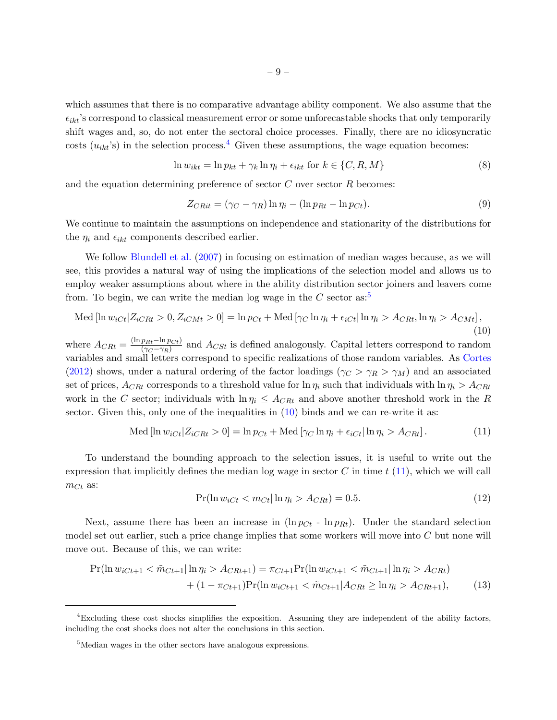which assumes that there is no comparative advantage ability component. We also assume that the  $\epsilon_{ikt}$ 's correspond to classical measurement error or some unforecastable shocks that only temporarily shift wages and, so, do not enter the sectoral choice processes. Finally, there are no idiosyncratic costs  $(u_{ikt}$ 's) in the selection process.<sup>[4](#page-8-0)</sup> Given these assumptions, the wage equation becomes:

$$
\ln w_{ikt} = \ln p_{kt} + \gamma_k \ln \eta_i + \epsilon_{ikt} \text{ for } k \in \{C, R, M\}
$$
\n
$$
(8)
$$

and the equation determining preference of sector  $C$  over sector  $R$  becomes:

$$
Z_{CRit} = (\gamma_C - \gamma_R) \ln \eta_i - (\ln p_{Rt} - \ln p_{Ct}). \tag{9}
$$

We continue to maintain the assumptions on independence and stationarity of the distributions for the  $\eta_i$  and  $\epsilon_{ikt}$  components described earlier.

We follow [Blundell et al.](#page-45-7) [\(2007\)](#page-45-7) in focusing on estimation of median wages because, as we will see, this provides a natural way of using the implications of the selection model and allows us to employ weaker assumptions about where in the ability distribution sector joiners and leavers come from. To begin, we can write the median log wage in the C sector as:<sup>[5](#page-8-1)</sup>

<span id="page-8-2"></span>
$$
\text{Med}[\ln w_{iCt} | Z_{iCRt} > 0, Z_{iCMt} > 0] = \ln p_{Ct} + \text{Med}[\gamma_C \ln \eta_i + \epsilon_{iCt} |\ln \eta_i > A_{CRt}, \ln \eta_i > A_{CMt}],\tag{10}
$$

where  $A_{CRt} = \frac{(\ln p_{Rt} - \ln p_{Ct})}{(\gamma_C - \gamma_P)}$  $\frac{p_{Rt} - \ln p_{Ct}}{(\gamma_C - \gamma_R)}$  and  $A_{CSt}$  is defined analogously. Capital letters correspond to random variables and small letters correspond to specific realizations of those random variables. As [Cortes](#page-45-4) [\(2012\)](#page-45-4) shows, under a natural ordering of the factor loadings ( $\gamma_C > \gamma_R > \gamma_M$ ) and an associated set of prices,  $A_{CRt}$  corresponds to a threshold value for  $\ln \eta_i$  such that individuals with  $\ln \eta_i > A_{CRt}$ work in the C sector; individuals with  $\ln \eta_i \leq A_{CRt}$  and above another threshold work in the R sector. Given this, only one of the inequalities in  $(10)$  binds and we can re-write it as:

<span id="page-8-3"></span>
$$
\text{Med}\left[\ln w_{iCt} | Z_{iCRt} > 0\right] = \ln p_{Ct} + \text{Med}\left[\gamma_C \ln \eta_i + \epsilon_{iCt} | \ln \eta_i > A_{CRt}\right].\tag{11}
$$

To understand the bounding approach to the selection issues, it is useful to write out the expression that implicitly defines the median log wage in sector  $C$  in time  $t$  [\(11\)](#page-8-3), which we will call  $m_{Ct}$  as:

<span id="page-8-4"></span>
$$
\Pr(\ln w_{iCt} < m_{Ct} | \ln \eta_i > A_{CRt}) = 0.5. \tag{12}
$$

Next, assume there has been an increase in  $(\ln p_{C_t} - \ln p_{R_t})$ . Under the standard selection model set out earlier, such a price change implies that some workers will move into C but none will move out. Because of this, we can write:

$$
\Pr(\ln w_{iCt+1} < \tilde{m}_{Ct+1}|\ln \eta_i > A_{CRt+1}) = \pi_{Ct+1} \Pr(\ln w_{iCt+1} < \tilde{m}_{Ct+1}|\ln \eta_i > A_{CRt}) + (1 - \pi_{Ct+1}) \Pr(\ln w_{iCt+1} < \tilde{m}_{Ct+1}|A_{CRt} \ge \ln \eta_i > A_{CRt+1}),\tag{13}
$$

<span id="page-8-0"></span><sup>4</sup>Excluding these cost shocks simplifies the exposition. Assuming they are independent of the ability factors, including the cost shocks does not alter the conclusions in this section.

<span id="page-8-1"></span><sup>&</sup>lt;sup>5</sup>Median wages in the other sectors have analogous expressions.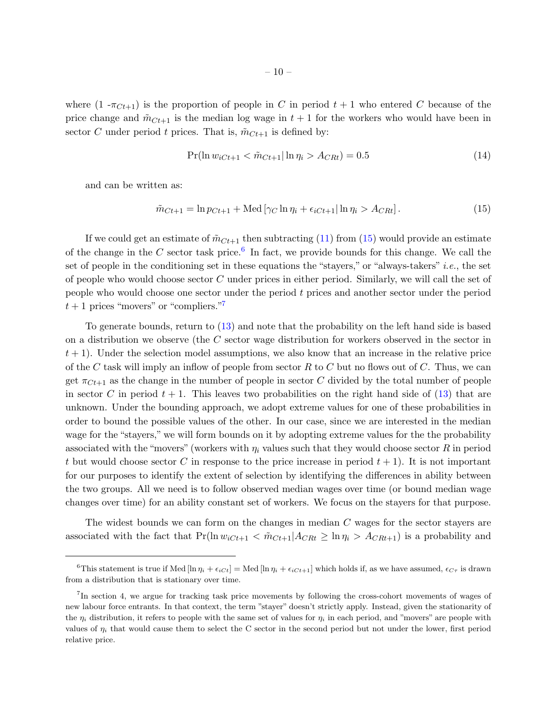where  $(1 - \pi_{C_t+1})$  is the proportion of people in C in period  $t + 1$  who entered C because of the price change and  $\tilde{m}_{C_t+1}$  is the median log wage in  $t+1$  for the workers who would have been in sector C under period t prices. That is,  $\tilde{m}_{C_t+1}$  is defined by:

$$
\Pr(\ln w_{iCt+1} < \tilde{m}_{Ct+1} | \ln \eta_i > A_{CRt}) = 0.5 \tag{14}
$$

and can be written as:

<span id="page-9-0"></span>
$$
\tilde{m}_{Ct+1} = \ln p_{Ct+1} + \text{Med}\left[\gamma_C \ln \eta_i + \epsilon_{iCt+1} | \ln \eta_i > A_{CRt}\right].\tag{15}
$$

If we could get an estimate of  $\tilde{m}_{C_t+1}$  then subtracting [\(11\)](#page-8-3) from [\(15\)](#page-9-0) would provide an estimate of the change in the C sector task price.<sup>[6](#page-9-1)</sup> In fact, we provide bounds for this change. We call the set of people in the conditioning set in these equations the "stayers," or "always-takers" *i.e.*, the set of people who would choose sector C under prices in either period. Similarly, we will call the set of people who would choose one sector under the period t prices and another sector under the period  $t+1$  prices "movers" or "compliers."

To generate bounds, return to [\(13\)](#page-8-4) and note that the probability on the left hand side is based on a distribution we observe (the C sector wage distribution for workers observed in the sector in  $t + 1$ . Under the selection model assumptions, we also know that an increase in the relative price of the C task will imply an inflow of people from sector R to C but no flows out of C. Thus, we can get  $\pi_{C_{t+1}}$  as the change in the number of people in sector C divided by the total number of people in sector C in period  $t + 1$ . This leaves two probabilities on the right hand side of [\(13\)](#page-8-4) that are unknown. Under the bounding approach, we adopt extreme values for one of these probabilities in order to bound the possible values of the other. In our case, since we are interested in the median wage for the "stayers," we will form bounds on it by adopting extreme values for the the probability associated with the "movers" (workers with  $\eta_i$  values such that they would choose sector R in period t but would choose sector C in response to the price increase in period  $t + 1$ ). It is not important for our purposes to identify the extent of selection by identifying the differences in ability between the two groups. All we need is to follow observed median wages over time (or bound median wage changes over time) for an ability constant set of workers. We focus on the stayers for that purpose.

The widest bounds we can form on the changes in median C wages for the sector stayers are associated with the fact that  $Pr(\ln w_{iC_t+1} < \tilde{m}_{C_t+1}|A_{CR_t} \geq \ln \eta_i > A_{CR_t+1})$  is a probability and

<span id="page-9-1"></span><sup>&</sup>lt;sup>6</sup>This statement is true if Med  $[\ln \eta_i + \epsilon_{iCt}] = \text{Med} [\ln \eta_i + \epsilon_{iCt+1}]$  which holds if, as we have assumed,  $\epsilon_{C\tau}$  is drawn from a distribution that is stationary over time.

<span id="page-9-2"></span><sup>&</sup>lt;sup>7</sup>In section 4, we argue for tracking task price movements by following the cross-cohort movements of wages of new labour force entrants. In that context, the term "stayer" doesn't strictly apply. Instead, given the stationarity of the  $\eta_i$  distribution, it refers to people with the same set of values for  $\eta_i$  in each period, and "movers" are people with values of  $\eta_i$  that would cause them to select the C sector in the second period but not under the lower, first period relative price.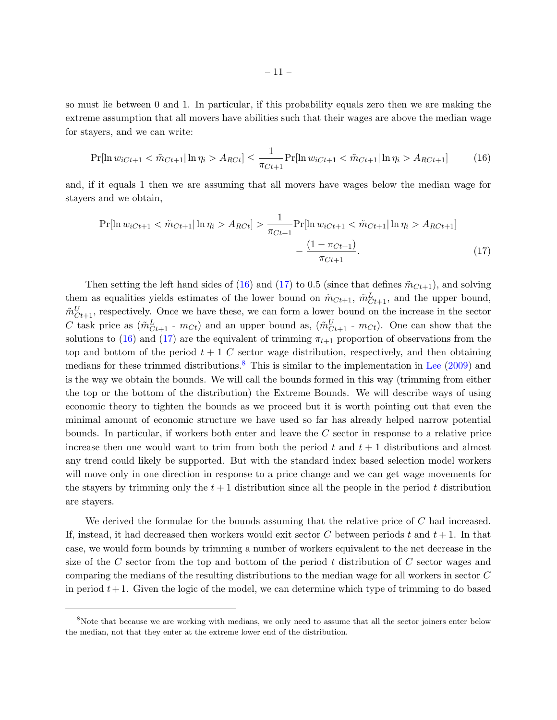so must lie between 0 and 1. In particular, if this probability equals zero then we are making the extreme assumption that all movers have abilities such that their wages are above the median wage for stayers, and we can write:

<span id="page-10-0"></span>
$$
\Pr[\ln w_{iCt+1} < \tilde{m}_{Ct+1} | \ln \eta_i > A_{RCt}] \le \frac{1}{\pi_{Ct+1}} \Pr[\ln w_{iCt+1} < \tilde{m}_{Ct+1} | \ln \eta_i > A_{RCt+1}] \tag{16}
$$

and, if it equals 1 then we are assuming that all movers have wages below the median wage for stayers and we obtain,

<span id="page-10-1"></span>
$$
\Pr[\ln w_{iCt+1} < \tilde{m}_{Ct+1} | \ln \eta_i > A_{RCt}] > \frac{1}{\pi_{Ct+1}} \Pr[\ln w_{iCt+1} < \tilde{m}_{Ct+1} | \ln \eta_i > A_{RCt+1}] \\
&- \frac{(1 - \pi_{Ct+1})}{\pi_{Ct+1}}.\n \tag{17}
$$

Then setting the left hand sides of [\(16\)](#page-10-0) and [\(17\)](#page-10-1) to 0.5 (since that defines  $\tilde{m}_{C_t+1}$ ), and solving them as equalities yields estimates of the lower bound on  $\tilde{m}_{Ct+1}$ ,  $\tilde{m}_{Ct+1}^L$ , and the upper bound,  $\tilde{m}_{Ct+1}^U$ , respectively. Once we have these, we can form a lower bound on the increase in the sector C task price as  $(\tilde{m}_{Ct+1}^L - m_{Ct})$  and an upper bound as,  $(\tilde{m}_{Ct+1}^U - m_{Ct})$ . One can show that the solutions to [\(16\)](#page-10-0) and [\(17\)](#page-10-1) are the equivalent of trimming  $\pi_{t+1}$  proportion of observations from the top and bottom of the period  $t + 1$  C sector wage distribution, respectively, and then obtaining medians for these trimmed distributions.<sup>[8](#page-10-2)</sup> This is similar to the implementation in [Lee](#page-46-5)  $(2009)$  and is the way we obtain the bounds. We will call the bounds formed in this way (trimming from either the top or the bottom of the distribution) the Extreme Bounds. We will describe ways of using economic theory to tighten the bounds as we proceed but it is worth pointing out that even the minimal amount of economic structure we have used so far has already helped narrow potential bounds. In particular, if workers both enter and leave the C sector in response to a relative price increase then one would want to trim from both the period t and  $t + 1$  distributions and almost any trend could likely be supported. But with the standard index based selection model workers will move only in one direction in response to a price change and we can get wage movements for the stayers by trimming only the  $t + 1$  distribution since all the people in the period t distribution are stayers.

We derived the formulae for the bounds assuming that the relative price of C had increased. If, instead, it had decreased then workers would exit sector C between periods t and  $t + 1$ . In that case, we would form bounds by trimming a number of workers equivalent to the net decrease in the size of the C sector from the top and bottom of the period t distribution of C sector wages and comparing the medians of the resulting distributions to the median wage for all workers in sector C in period  $t+1$ . Given the logic of the model, we can determine which type of trimming to do based

<span id="page-10-2"></span><sup>&</sup>lt;sup>8</sup>Note that because we are working with medians, we only need to assume that all the sector joiners enter below the median, not that they enter at the extreme lower end of the distribution.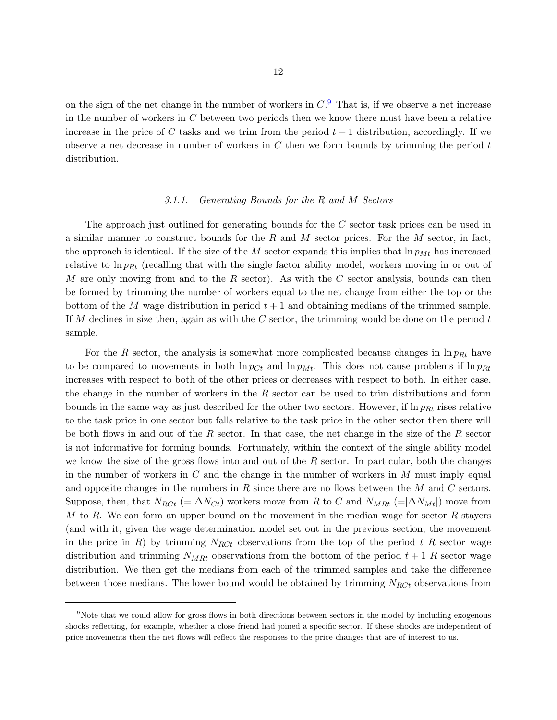on the sign of the net change in the number of workers in  $C<sup>9</sup>$  $C<sup>9</sup>$  $C<sup>9</sup>$ . That is, if we observe a net increase in the number of workers in  $C$  between two periods then we know there must have been a relative increase in the price of C tasks and we trim from the period  $t + 1$  distribution, accordingly. If we observe a net decrease in number of workers in  $C$  then we form bounds by trimming the period  $t$ distribution.

### 3.1.1. Generating Bounds for the R and M Sectors

The approach just outlined for generating bounds for the C sector task prices can be used in a similar manner to construct bounds for the  $R$  and  $M$  sector prices. For the  $M$  sector, in fact, the approach is identical. If the size of the M sector expands this implies that  $\ln p_{Mt}$  has increased relative to  $\ln p_{Rt}$  (recalling that with the single factor ability model, workers moving in or out of M are only moving from and to the R sector). As with the C sector analysis, bounds can then be formed by trimming the number of workers equal to the net change from either the top or the bottom of the M wage distribution in period  $t + 1$  and obtaining medians of the trimmed sample. If M declines in size then, again as with the C sector, the trimming would be done on the period  $t$ sample.

For the R sector, the analysis is somewhat more complicated because changes in  $\ln p_{Rt}$  have to be compared to movements in both  $\ln p_{Ct}$  and  $\ln p_{Mt}$ . This does not cause problems if  $\ln p_{Rt}$ increases with respect to both of the other prices or decreases with respect to both. In either case, the change in the number of workers in the  $R$  sector can be used to trim distributions and form bounds in the same way as just described for the other two sectors. However, if  $\ln p_{Rt}$  rises relative to the task price in one sector but falls relative to the task price in the other sector then there will be both flows in and out of the R sector. In that case, the net change in the size of the R sector is not informative for forming bounds. Fortunately, within the context of the single ability model we know the size of the gross flows into and out of the  $R$  sector. In particular, both the changes in the number of workers in  $C$  and the change in the number of workers in  $M$  must imply equal and opposite changes in the numbers in R since there are no flows between the M and C sectors. Suppose, then, that  $N_{RCt}$  (=  $\Delta N_{Ct}$ ) workers move from R to C and  $N_{MRt}$  (=  $|\Delta N_{Mt}|$ ) move from M to R. We can form an upper bound on the movement in the median wage for sector  $R$  stayers (and with it, given the wage determination model set out in the previous section, the movement in the price in R) by trimming  $N_{RCt}$  observations from the top of the period t R sector wage distribution and trimming  $N_{MRt}$  observations from the bottom of the period  $t + 1$  R sector wage distribution. We then get the medians from each of the trimmed samples and take the difference between those medians. The lower bound would be obtained by trimming  $N_{RCt}$  observations from

<span id="page-11-0"></span><sup>&</sup>lt;sup>9</sup>Note that we could allow for gross flows in both directions between sectors in the model by including exogenous shocks reflecting, for example, whether a close friend had joined a specific sector. If these shocks are independent of price movements then the net flows will reflect the responses to the price changes that are of interest to us.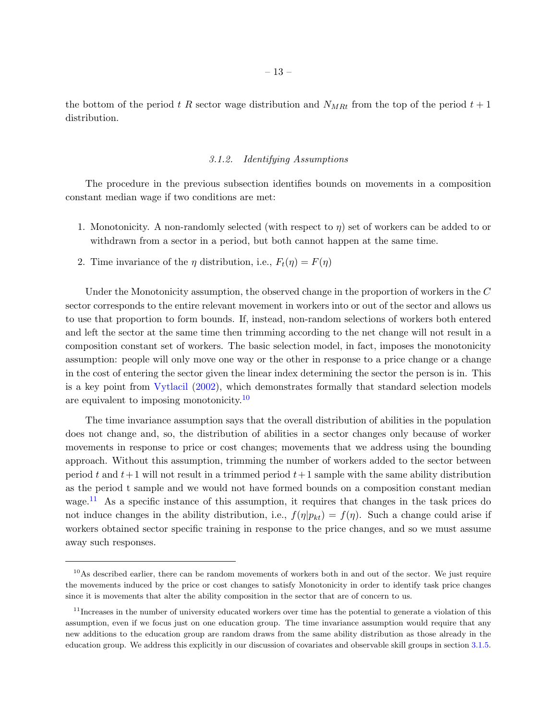the bottom of the period t R sector wage distribution and  $N_{MRt}$  from the top of the period  $t + 1$ distribution.

### 3.1.2. Identifying Assumptions

The procedure in the previous subsection identifies bounds on movements in a composition constant median wage if two conditions are met:

- 1. Monotonicity. A non-randomly selected (with respect to  $\eta$ ) set of workers can be added to or withdrawn from a sector in a period, but both cannot happen at the same time.
- 2. Time invariance of the  $\eta$  distribution, i.e.,  $F_t(\eta) = F(\eta)$

Under the Monotonicity assumption, the observed change in the proportion of workers in the C sector corresponds to the entire relevant movement in workers into or out of the sector and allows us to use that proportion to form bounds. If, instead, non-random selections of workers both entered and left the sector at the same time then trimming according to the net change will not result in a composition constant set of workers. The basic selection model, in fact, imposes the monotonicity assumption: people will only move one way or the other in response to a price change or a change in the cost of entering the sector given the linear index determining the sector the person is in. This is a key point from [Vytlacil](#page-47-3) [\(2002\)](#page-47-3), which demonstrates formally that standard selection models are equivalent to imposing monotonicity.<sup>[10](#page-12-0)</sup>

The time invariance assumption says that the overall distribution of abilities in the population does not change and, so, the distribution of abilities in a sector changes only because of worker movements in response to price or cost changes; movements that we address using the bounding approach. Without this assumption, trimming the number of workers added to the sector between period t and  $t+1$  will not result in a trimmed period  $t+1$  sample with the same ability distribution as the period t sample and we would not have formed bounds on a composition constant median wage.<sup>[11](#page-12-1)</sup> As a specific instance of this assumption, it requires that changes in the task prices do not induce changes in the ability distribution, i.e.,  $f(\eta|p_{kt}) = f(\eta)$ . Such a change could arise if workers obtained sector specific training in response to the price changes, and so we must assume away such responses.

<span id="page-12-0"></span> $10$ As described earlier, there can be random movements of workers both in and out of the sector. We just require the movements induced by the price or cost changes to satisfy Monotonicity in order to identify task price changes since it is movements that alter the ability composition in the sector that are of concern to us.

<span id="page-12-1"></span> $11$ Increases in the number of university educated workers over time has the potential to generate a violation of this assumption, even if we focus just on one education group. The time invariance assumption would require that any new additions to the education group are random draws from the same ability distribution as those already in the education group. We address this explicitly in our discussion of covariates and observable skill groups in section [3.1.5.](#page-17-0)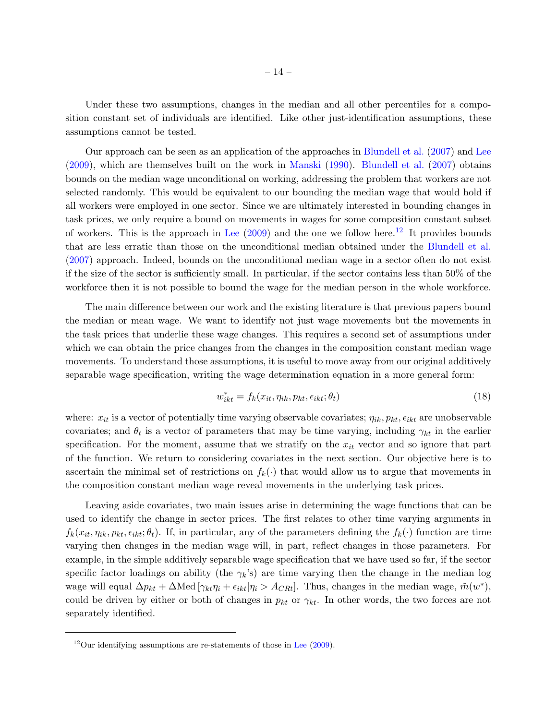Under these two assumptions, changes in the median and all other percentiles for a composition constant set of individuals are identified. Like other just-identification assumptions, these assumptions cannot be tested.

Our approach can be seen as an application of the approaches in [Blundell et al.](#page-45-7) [\(2007\)](#page-45-7) and [Lee](#page-46-5) [\(2009\)](#page-46-5), which are themselves built on the work in [Manski](#page-46-3) [\(1990\)](#page-46-3). [Blundell et al.](#page-45-7) [\(2007\)](#page-45-7) obtains bounds on the median wage unconditional on working, addressing the problem that workers are not selected randomly. This would be equivalent to our bounding the median wage that would hold if all workers were employed in one sector. Since we are ultimately interested in bounding changes in task prices, we only require a bound on movements in wages for some composition constant subset of workers. This is the approach in [Lee](#page-46-5)  $(2009)$  and the one we follow here.<sup>[12](#page-13-0)</sup> It provides bounds that are less erratic than those on the unconditional median obtained under the [Blundell et al.](#page-45-7) [\(2007\)](#page-45-7) approach. Indeed, bounds on the unconditional median wage in a sector often do not exist if the size of the sector is sufficiently small. In particular, if the sector contains less than 50% of the workforce then it is not possible to bound the wage for the median person in the whole workforce.

The main difference between our work and the existing literature is that previous papers bound the median or mean wage. We want to identify not just wage movements but the movements in the task prices that underlie these wage changes. This requires a second set of assumptions under which we can obtain the price changes from the changes in the composition constant median wage movements. To understand those assumptions, it is useful to move away from our original additively separable wage specification, writing the wage determination equation in a more general form:

$$
w_{ikt}^* = f_k(x_{it}, \eta_{ik}, p_{kt}, \epsilon_{ikt}; \theta_t)
$$
\n(18)

where:  $x_{it}$  is a vector of potentially time varying observable covariates;  $\eta_{ik}, p_{kt}, \epsilon_{ikt}$  are unobservable covariates; and  $\theta_t$  is a vector of parameters that may be time varying, including  $\gamma_{kt}$  in the earlier specification. For the moment, assume that we stratify on the  $x_{it}$  vector and so ignore that part of the function. We return to considering covariates in the next section. Our objective here is to ascertain the minimal set of restrictions on  $f_k(\cdot)$  that would allow us to argue that movements in the composition constant median wage reveal movements in the underlying task prices.

Leaving aside covariates, two main issues arise in determining the wage functions that can be used to identify the change in sector prices. The first relates to other time varying arguments in  $f_k(x_{it}, \eta_{ik}, p_{kt}, \epsilon_{ikt}; \theta_t)$ . If, in particular, any of the parameters defining the  $f_k(\cdot)$  function are time varying then changes in the median wage will, in part, reflect changes in those parameters. For example, in the simple additively separable wage specification that we have used so far, if the sector specific factor loadings on ability (the  $\gamma_k$ 's) are time varying then the change in the median log wage will equal  $\Delta p_{kt} + \Delta \text{Med} [\gamma_{kt} \eta_i + \epsilon_{ikt} | \eta_i > A_{CRt}]$ . Thus, changes in the median wage,  $\tilde{m}(w^*)$ , could be driven by either or both of changes in  $p_{kt}$  or  $\gamma_{kt}$ . In other words, the two forces are not separately identified.

<span id="page-13-0"></span> $12$ Our identifying assumptions are re-statements of those in [Lee](#page-46-5)  $(2009)$ .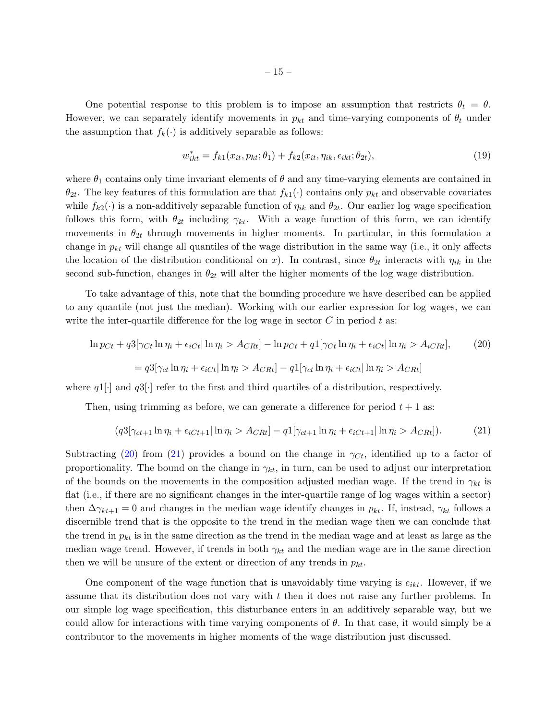One potential response to this problem is to impose an assumption that restricts  $\theta_t = \theta$ . However, we can separately identify movements in  $p_{kt}$  and time-varying components of  $\theta_t$  under the assumption that  $f_k(\cdot)$  is additively separable as follows:

$$
w_{ikt}^* = f_{k1}(x_{it}, p_{kt}; \theta_1) + f_{k2}(x_{it}, \eta_{ik}, \epsilon_{ikt}; \theta_{2t}),
$$
\n(19)

where  $\theta_1$  contains only time invariant elements of  $\theta$  and any time-varying elements are contained in  $\theta_{2t}$ . The key features of this formulation are that  $f_{k1}(\cdot)$  contains only  $p_{kt}$  and observable covariates while  $f_{k2}(\cdot)$  is a non-additively separable function of  $\eta_{ik}$  and  $\theta_{2t}$ . Our earlier log wage specification follows this form, with  $\theta_{2t}$  including  $\gamma_{kt}$ . With a wage function of this form, we can identify movements in  $\theta_{2t}$  through movements in higher moments. In particular, in this formulation a change in  $p_{kt}$  will change all quantiles of the wage distribution in the same way (i.e., it only affects the location of the distribution conditional on x). In contrast, since  $\theta_{2t}$  interacts with  $\eta_{ik}$  in the second sub-function, changes in  $\theta_{2t}$  will alter the higher moments of the log wage distribution.

To take advantage of this, note that the bounding procedure we have described can be applied to any quantile (not just the median). Working with our earlier expression for log wages, we can write the inter-quartile difference for the log wage in sector  $C$  in period t as:

<span id="page-14-0"></span>
$$
\ln p_{Ct} + q3[\gamma_{Ct} \ln \eta_i + \epsilon_{iCt} |\ln \eta_i > A_{CRt}] - \ln p_{Ct} + q1[\gamma_{Ct} \ln \eta_i + \epsilon_{iCt} |\ln \eta_i > A_{iCRt}], \tag{20}
$$

$$
= q3[\gamma_{ct} \ln \eta_i + \epsilon_{iCt} |\ln \eta_i > A_{CRt}] - q1[\gamma_{ct} \ln \eta_i + \epsilon_{iCt} |\ln \eta_i > A_{CRt}]
$$

where  $q1$ . and  $q3$ . refer to the first and third quartiles of a distribution, respectively.

Then, using trimming as before, we can generate a difference for period  $t + 1$  as:

<span id="page-14-1"></span>
$$
(q3[\gamma_{ct+1}\ln\eta_i + \epsilon_{iCt+1}|\ln\eta_i > A_{CRt}] - q1[\gamma_{ct+1}\ln\eta_i + \epsilon_{iCt+1}|\ln\eta_i > A_{CRt}]).
$$
 (21)

Subtracting [\(20\)](#page-14-0) from [\(21\)](#page-14-1) provides a bound on the change in  $\gamma_{C_t}$ , identified up to a factor of proportionality. The bound on the change in  $\gamma_{kt}$ , in turn, can be used to adjust our interpretation of the bounds on the movements in the composition adjusted median wage. If the trend in  $\gamma_{kt}$  is flat (i.e., if there are no significant changes in the inter-quartile range of log wages within a sector) then  $\Delta \gamma_{kt+1} = 0$  and changes in the median wage identify changes in  $p_{kt}$ . If, instead,  $\gamma_{kt}$  follows a discernible trend that is the opposite to the trend in the median wage then we can conclude that the trend in  $p_{kt}$  is in the same direction as the trend in the median wage and at least as large as the median wage trend. However, if trends in both  $\gamma_{kt}$  and the median wage are in the same direction then we will be unsure of the extent or direction of any trends in  $p_{kt}$ .

One component of the wage function that is unavoidably time varying is  $e_{ikt}$ . However, if we assume that its distribution does not vary with  $t$  then it does not raise any further problems. In our simple log wage specification, this disturbance enters in an additively separable way, but we could allow for interactions with time varying components of  $\theta$ . In that case, it would simply be a contributor to the movements in higher moments of the wage distribution just discussed.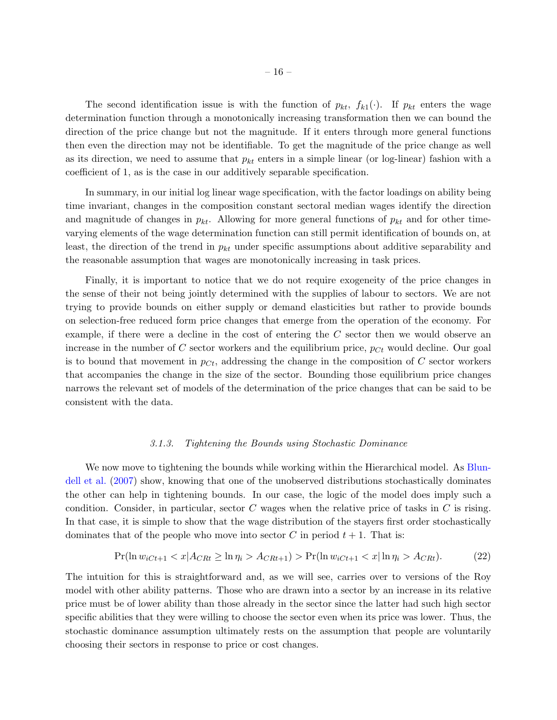The second identification issue is with the function of  $p_{kt}$ ,  $f_{k1}(\cdot)$ . If  $p_{kt}$  enters the wage determination function through a monotonically increasing transformation then we can bound the direction of the price change but not the magnitude. If it enters through more general functions then even the direction may not be identifiable. To get the magnitude of the price change as well as its direction, we need to assume that  $p_{kt}$  enters in a simple linear (or log-linear) fashion with a coefficient of 1, as is the case in our additively separable specification.

In summary, in our initial log linear wage specification, with the factor loadings on ability being time invariant, changes in the composition constant sectoral median wages identify the direction and magnitude of changes in  $p_{kt}$ . Allowing for more general functions of  $p_{kt}$  and for other timevarying elements of the wage determination function can still permit identification of bounds on, at least, the direction of the trend in  $p_{kt}$  under specific assumptions about additive separability and the reasonable assumption that wages are monotonically increasing in task prices.

Finally, it is important to notice that we do not require exogeneity of the price changes in the sense of their not being jointly determined with the supplies of labour to sectors. We are not trying to provide bounds on either supply or demand elasticities but rather to provide bounds on selection-free reduced form price changes that emerge from the operation of the economy. For example, if there were a decline in the cost of entering the C sector then we would observe an increase in the number of C sector workers and the equilibrium price,  $p_{C_t}$  would decline. Our goal is to bound that movement in  $p_{C_t}$ , addressing the change in the composition of C sector workers that accompanies the change in the size of the sector. Bounding those equilibrium price changes narrows the relevant set of models of the determination of the price changes that can be said to be consistent with the data.

#### 3.1.3. Tightening the Bounds using Stochastic Dominance

We now move to tightening the bounds while working within the Hierarchical model. As [Blun](#page-45-7)[dell et al.](#page-45-7) [\(2007\)](#page-45-7) show, knowing that one of the unobserved distributions stochastically dominates the other can help in tightening bounds. In our case, the logic of the model does imply such a condition. Consider, in particular, sector C wages when the relative price of tasks in C is rising. In that case, it is simple to show that the wage distribution of the stayers first order stochastically dominates that of the people who move into sector C in period  $t + 1$ . That is:

<span id="page-15-0"></span>
$$
\Pr(\ln w_{iCt+1} < x | A_{CRt} \ge \ln \eta_i > A_{CRt+1}) > \Pr(\ln w_{iCt+1} < x | \ln \eta_i > A_{CRt}).\tag{22}
$$

The intuition for this is straightforward and, as we will see, carries over to versions of the Roy model with other ability patterns. Those who are drawn into a sector by an increase in its relative price must be of lower ability than those already in the sector since the latter had such high sector specific abilities that they were willing to choose the sector even when its price was lower. Thus, the stochastic dominance assumption ultimately rests on the assumption that people are voluntarily choosing their sectors in response to price or cost changes.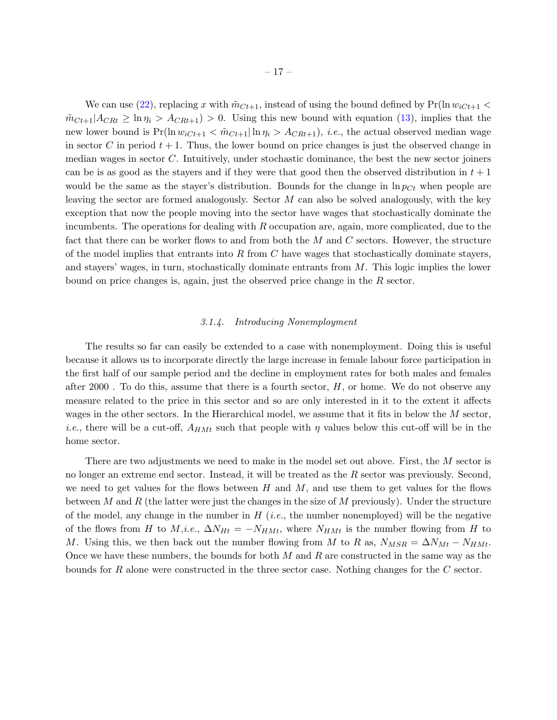We can use [\(22\)](#page-15-0), replacing x with  $\tilde{m}_{Ct+1}$ , instead of using the bound defined by  $Pr(\ln w_{iC_t+1}$  $\tilde{m}_{Ct+1}|A_{CRt} \geq \ln \eta_i > A_{CRt+1} > 0$ . Using this new bound with equation [\(13\)](#page-8-4), implies that the new lower bound is  $Pr(\ln w_{iC_t+1} < \tilde{m}_{C_t+1}|\ln \eta_i > A_{CR_t+1}), i.e.,$  the actual observed median wage in sector C in period  $t + 1$ . Thus, the lower bound on price changes is just the observed change in median wages in sector C. Intuitively, under stochastic dominance, the best the new sector joiners can be is as good as the stayers and if they were that good then the observed distribution in  $t + 1$ would be the same as the stayer's distribution. Bounds for the change in  $\ln p_{C_t}$  when people are leaving the sector are formed analogously. Sector  $M$  can also be solved analogously, with the key exception that now the people moving into the sector have wages that stochastically dominate the incumbents. The operations for dealing with  $R$  occupation are, again, more complicated, due to the fact that there can be worker flows to and from both the  $M$  and  $C$  sectors. However, the structure of the model implies that entrants into  $R$  from  $C$  have wages that stochastically dominate stayers, and stayers' wages, in turn, stochastically dominate entrants from  $M$ . This logic implies the lower bound on price changes is, again, just the observed price change in the R sector.

### 3.1.4. Introducing Nonemployment

The results so far can easily be extended to a case with nonemployment. Doing this is useful because it allows us to incorporate directly the large increase in female labour force participation in the first half of our sample period and the decline in employment rates for both males and females after 2000. To do this, assume that there is a fourth sector,  $H$ , or home. We do not observe any measure related to the price in this sector and so are only interested in it to the extent it affects wages in the other sectors. In the Hierarchical model, we assume that it fits in below the M sector, *i.e.*, there will be a cut-off,  $A_{HMt}$  such that people with  $\eta$  values below this cut-off will be in the home sector.

There are two adjustments we need to make in the model set out above. First, the M sector is no longer an extreme end sector. Instead, it will be treated as the R sector was previously. Second, we need to get values for the flows between  $H$  and  $M$ , and use them to get values for the flows between M and R (the latter were just the changes in the size of M previously). Under the structure of the model, any change in the number in  $H$  (*i.e.*, the number nonemployed) will be the negative of the flows from H to  $M,i.e., \Delta N_{Ht} = -N_{HMt}$ , where  $N_{HMt}$  is the number flowing from H to M. Using this, we then back out the number flowing from M to R as,  $N_{MSR} = \Delta N_{Mt} - N_{HMt}$ . Once we have these numbers, the bounds for both  $M$  and  $R$  are constructed in the same way as the bounds for R alone were constructed in the three sector case. Nothing changes for the C sector.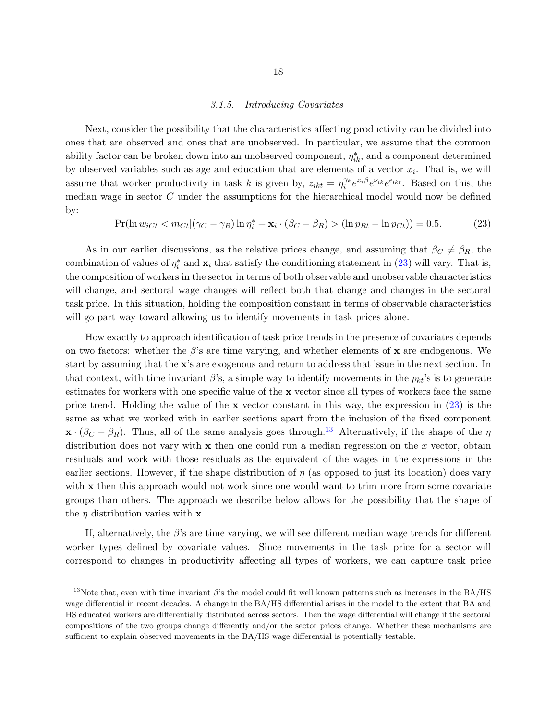### 3.1.5. Introducing Covariates

<span id="page-17-0"></span>Next, consider the possibility that the characteristics affecting productivity can be divided into ones that are observed and ones that are unobserved. In particular, we assume that the common ability factor can be broken down into an unobserved component,  $\eta_{ik}^*$ , and a component determined by observed variables such as age and education that are elements of a vector  $x_i$ . That is, we will assume that worker productivity in task k is given by,  $z_{ikt} = \eta_i^{\gamma_k} e^{x_i \beta} e^{\nu_{ik}} e^{\epsilon_{ikt}}$ . Based on this, the median wage in sector C under the assumptions for the hierarchical model would now be defined by:

<span id="page-17-1"></span>
$$
\Pr(\ln w_{iCt} < m_{Ct} | (\gamma_C - \gamma_R) \ln \eta_i^* + \mathbf{x}_i \cdot (\beta_C - \beta_R) > (\ln p_{Rt} - \ln p_{Ct})) = 0.5. \tag{23}
$$

As in our earlier discussions, as the relative prices change, and assuming that  $\beta_C \neq \beta_R$ , the combination of values of  $\eta_i^*$  and  $\mathbf{x}_i$  that satisfy the conditioning statement in [\(23\)](#page-17-1) will vary. That is, the composition of workers in the sector in terms of both observable and unobservable characteristics will change, and sectoral wage changes will reflect both that change and changes in the sectoral task price. In this situation, holding the composition constant in terms of observable characteristics will go part way toward allowing us to identify movements in task prices alone.

How exactly to approach identification of task price trends in the presence of covariates depends on two factors: whether the  $\beta$ 's are time varying, and whether elements of x are endogenous. We start by assuming that the x's are exogenous and return to address that issue in the next section. In that context, with time invariant  $\beta$ 's, a simple way to identify movements in the  $p_{kt}$ 's is to generate estimates for workers with one specific value of the x vector since all types of workers face the same price trend. Holding the value of the  $x$  vector constant in this way, the expression in  $(23)$  is the same as what we worked with in earlier sections apart from the inclusion of the fixed component  $\mathbf{x} \cdot (\beta_C - \beta_R)$ . Thus, all of the same analysis goes through.<sup>[13](#page-17-2)</sup> Alternatively, if the shape of the  $\eta$ distribution does not vary with  $x$  then one could run a median regression on the  $x$  vector, obtain residuals and work with those residuals as the equivalent of the wages in the expressions in the earlier sections. However, if the shape distribution of  $\eta$  (as opposed to just its location) does vary with x then this approach would not work since one would want to trim more from some covariate groups than others. The approach we describe below allows for the possibility that the shape of the  $\eta$  distribution varies with **x**.

If, alternatively, the  $\beta$ 's are time varying, we will see different median wage trends for different worker types defined by covariate values. Since movements in the task price for a sector will correspond to changes in productivity affecting all types of workers, we can capture task price

<span id="page-17-2"></span><sup>&</sup>lt;sup>13</sup>Note that, even with time invariant  $\beta$ 's the model could fit well known patterns such as increases in the BA/HS wage differential in recent decades. A change in the BA/HS differential arises in the model to the extent that BA and HS educated workers are differentially distributed across sectors. Then the wage differential will change if the sectoral compositions of the two groups change differently and/or the sector prices change. Whether these mechanisms are sufficient to explain observed movements in the BA/HS wage differential is potentially testable.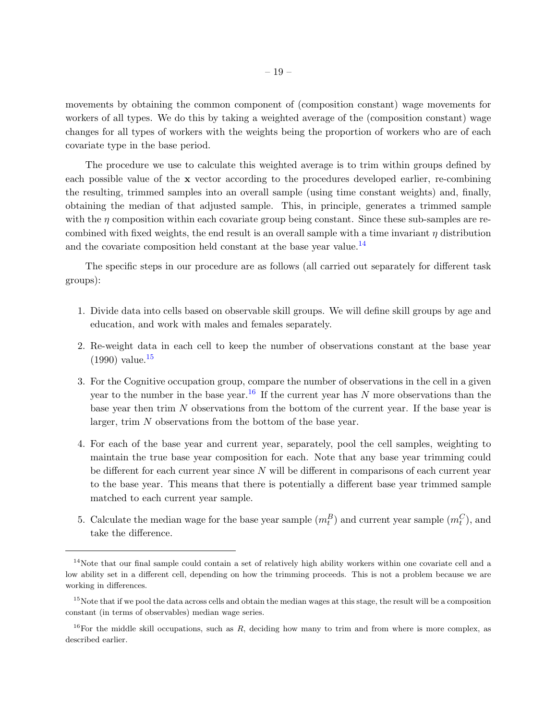movements by obtaining the common component of (composition constant) wage movements for workers of all types. We do this by taking a weighted average of the (composition constant) wage changes for all types of workers with the weights being the proportion of workers who are of each covariate type in the base period.

The procedure we use to calculate this weighted average is to trim within groups defined by each possible value of the x vector according to the procedures developed earlier, re-combining the resulting, trimmed samples into an overall sample (using time constant weights) and, finally, obtaining the median of that adjusted sample. This, in principle, generates a trimmed sample with the  $\eta$  composition within each covariate group being constant. Since these sub-samples are recombined with fixed weights, the end result is an overall sample with a time invariant  $\eta$  distribution and the covariate composition held constant at the base year value.<sup>[14](#page-18-0)</sup>

The specific steps in our procedure are as follows (all carried out separately for different task groups):

- 1. Divide data into cells based on observable skill groups. We will define skill groups by age and education, and work with males and females separately.
- 2. Re-weight data in each cell to keep the number of observations constant at the base year  $(1990)$  value.<sup>[15](#page-18-1)</sup>
- 3. For the Cognitive occupation group, compare the number of observations in the cell in a given year to the number in the base year.<sup>[16](#page-18-2)</sup> If the current year has N more observations than the base year then trim  $N$  observations from the bottom of the current year. If the base year is larger, trim N observations from the bottom of the base year.
- 4. For each of the base year and current year, separately, pool the cell samples, weighting to maintain the true base year composition for each. Note that any base year trimming could be different for each current year since  $N$  will be different in comparisons of each current year to the base year. This means that there is potentially a different base year trimmed sample matched to each current year sample.
- 5. Calculate the median wage for the base year sample  $(m_t^B)$  and current year sample  $(m_t^C)$ , and take the difference.

<span id="page-18-0"></span><sup>&</sup>lt;sup>14</sup>Note that our final sample could contain a set of relatively high ability workers within one covariate cell and a low ability set in a different cell, depending on how the trimming proceeds. This is not a problem because we are working in differences.

<span id="page-18-1"></span> $15$ Note that if we pool the data across cells and obtain the median wages at this stage, the result will be a composition constant (in terms of observables) median wage series.

<span id="page-18-2"></span><sup>&</sup>lt;sup>16</sup>For the middle skill occupations, such as R, deciding how many to trim and from where is more complex, as described earlier.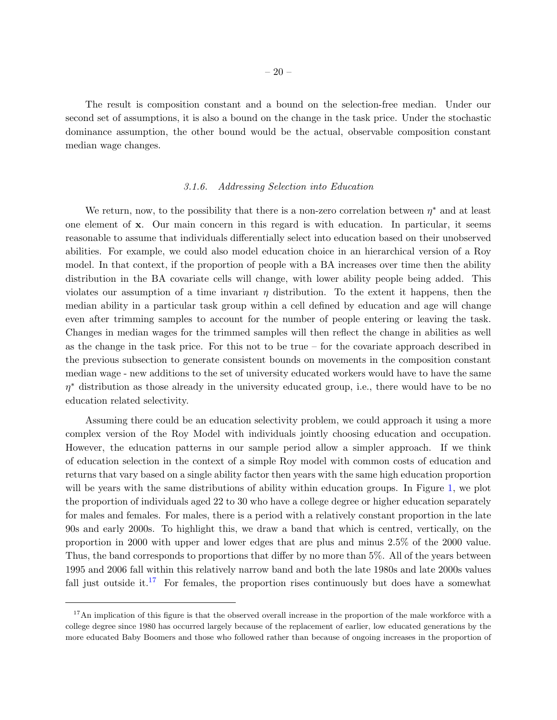The result is composition constant and a bound on the selection-free median. Under our second set of assumptions, it is also a bound on the change in the task price. Under the stochastic dominance assumption, the other bound would be the actual, observable composition constant median wage changes.

### 3.1.6. Addressing Selection into Education

<span id="page-19-1"></span>We return, now, to the possibility that there is a non-zero correlation between  $\eta^*$  and at least one element of x. Our main concern in this regard is with education. In particular, it seems reasonable to assume that individuals differentially select into education based on their unobserved abilities. For example, we could also model education choice in an hierarchical version of a Roy model. In that context, if the proportion of people with a BA increases over time then the ability distribution in the BA covariate cells will change, with lower ability people being added. This violates our assumption of a time invariant  $\eta$  distribution. To the extent it happens, then the median ability in a particular task group within a cell defined by education and age will change even after trimming samples to account for the number of people entering or leaving the task. Changes in median wages for the trimmed samples will then reflect the change in abilities as well as the change in the task price. For this not to be true – for the covariate approach described in the previous subsection to generate consistent bounds on movements in the composition constant median wage - new additions to the set of university educated workers would have to have the same  $\eta^*$  distribution as those already in the university educated group, i.e., there would have to be no education related selectivity.

Assuming there could be an education selectivity problem, we could approach it using a more complex version of the Roy Model with individuals jointly choosing education and occupation. However, the education patterns in our sample period allow a simpler approach. If we think of education selection in the context of a simple Roy model with common costs of education and returns that vary based on a single ability factor then years with the same high education proportion will be years with the same distributions of ability within education groups. In Figure [1,](#page-20-0) we plot the proportion of individuals aged 22 to 30 who have a college degree or higher education separately for males and females. For males, there is a period with a relatively constant proportion in the late 90s and early 2000s. To highlight this, we draw a band that which is centred, vertically, on the proportion in 2000 with upper and lower edges that are plus and minus 2.5% of the 2000 value. Thus, the band corresponds to proportions that differ by no more than 5%. All of the years between 1995 and 2006 fall within this relatively narrow band and both the late 1980s and late 2000s values fall just outside it.<sup>[17](#page-19-0)</sup> For females, the proportion rises continuously but does have a somewhat

<span id="page-19-0"></span> $17$ An implication of this figure is that the observed overall increase in the proportion of the male workforce with a college degree since 1980 has occurred largely because of the replacement of earlier, low educated generations by the more educated Baby Boomers and those who followed rather than because of ongoing increases in the proportion of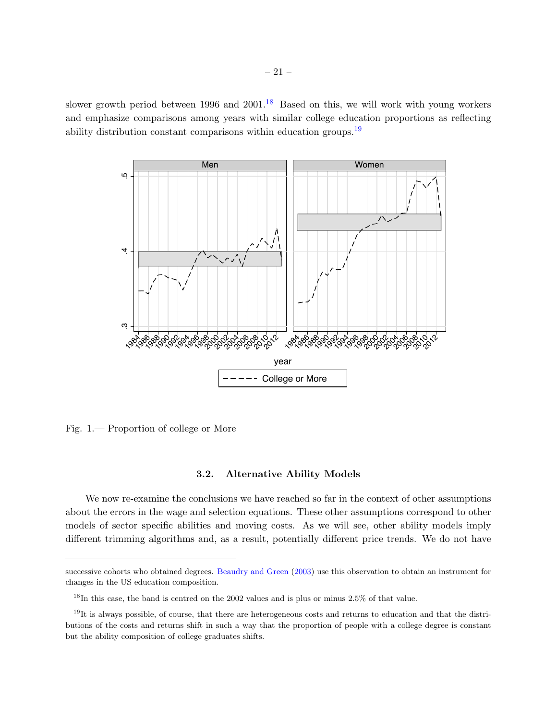slower growth period between 1996 and  $2001<sup>18</sup>$  $2001<sup>18</sup>$  $2001<sup>18</sup>$  Based on this, we will work with young workers and emphasize comparisons among years with similar college education proportions as reflecting ability distribution constant comparisons within education groups.<sup>[19](#page-20-2)</sup>



<span id="page-20-0"></span>Fig. 1.— Proportion of college or More

# 3.2. Alternative Ability Models

We now re-examine the conclusions we have reached so far in the context of other assumptions about the errors in the wage and selection equations. These other assumptions correspond to other models of sector specific abilities and moving costs. As we will see, other ability models imply different trimming algorithms and, as a result, potentially different price trends. We do not have

successive cohorts who obtained degrees. [Beaudry and Green](#page-45-9) [\(2003\)](#page-45-9) use this observation to obtain an instrument for changes in the US education composition.

<span id="page-20-2"></span><span id="page-20-1"></span><sup>18</sup>In this case, the band is centred on the 2002 values and is plus or minus 2.5% of that value.

 $19$ It is always possible, of course, that there are heterogeneous costs and returns to education and that the distributions of the costs and returns shift in such a way that the proportion of people with a college degree is constant but the ability composition of college graduates shifts.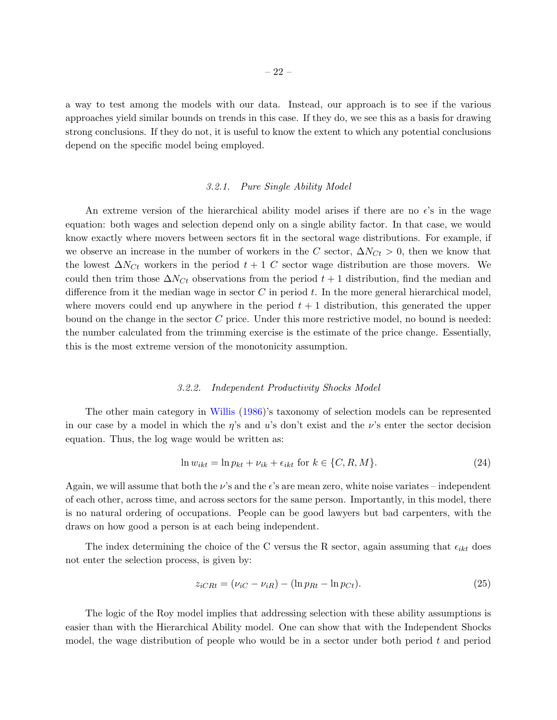a way to test among the models with our data. Instead, our approach is to see if the various approaches yield similar bounds on trends in this case. If they do, we see this as a basis for drawing strong conclusions. If they do not, it is useful to know the extent to which any potential conclusions depend on the specific model being employed.

### 3.2.1. Pure Single Ability Model

An extreme version of the hierarchical ability model arises if there are no  $\epsilon$ 's in the wage equation: both wages and selection depend only on a single ability factor. In that case, we would know exactly where movers between sectors fit in the sectoral wage distributions. For example, if we observe an increase in the number of workers in the C sector,  $\Delta N_{C_t} > 0$ , then we know that the lowest  $\Delta N_{C_t}$  workers in the period  $t + 1$  C sector wage distribution are those movers. We could then trim those  $\Delta N_{C_t}$  observations from the period  $t + 1$  distribution, find the median and difference from it the median wage in sector  $C$  in period  $t$ . In the more general hierarchical model, where movers could end up anywhere in the period  $t + 1$  distribution, this generated the upper bound on the change in the sector C price. Under this more restrictive model, no bound is needed: the number calculated from the trimming exercise is the estimate of the price change. Essentially, this is the most extreme version of the monotonicity assumption.

#### 3.2.2. Independent Productivity Shocks Model

The other main category in [Willis](#page-47-2) [\(1986\)](#page-47-2)'s taxonomy of selection models can be represented in our case by a model in which the  $\eta$ 's and u's don't exist and the  $\nu$ 's enter the sector decision equation. Thus, the log wage would be written as:

$$
\ln w_{ikt} = \ln p_{kt} + \nu_{ik} + \epsilon_{ikt} \text{ for } k \in \{C, R, M\}.
$$
\n(24)

Again, we will assume that both the  $\nu$ 's and the  $\epsilon$ 's are mean zero, white noise variates – independent of each other, across time, and across sectors for the same person. Importantly, in this model, there is no natural ordering of occupations. People can be good lawyers but bad carpenters, with the draws on how good a person is at each being independent.

The index determining the choice of the C versus the R sector, again assuming that  $\epsilon_{ikt}$  does not enter the selection process, is given by:

$$
z_{iCRt} = (\nu_{iC} - \nu_{iR}) - (\ln p_{Rt} - \ln p_{Ct}).
$$
\n(25)

The logic of the Roy model implies that addressing selection with these ability assumptions is easier than with the Hierarchical Ability model. One can show that with the Independent Shocks model, the wage distribution of people who would be in a sector under both period  $t$  and period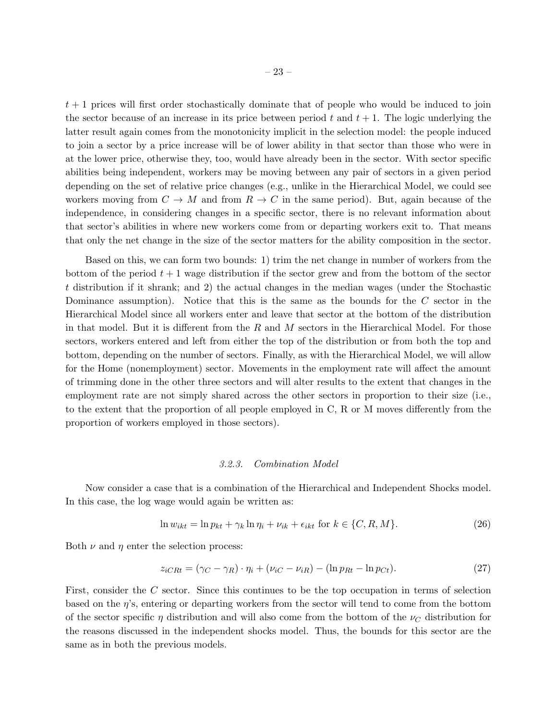$t + 1$  prices will first order stochastically dominate that of people who would be induced to join the sector because of an increase in its price between period t and  $t + 1$ . The logic underlying the latter result again comes from the monotonicity implicit in the selection model: the people induced to join a sector by a price increase will be of lower ability in that sector than those who were in at the lower price, otherwise they, too, would have already been in the sector. With sector specific abilities being independent, workers may be moving between any pair of sectors in a given period depending on the set of relative price changes (e.g., unlike in the Hierarchical Model, we could see workers moving from  $C \to M$  and from  $R \to C$  in the same period). But, again because of the independence, in considering changes in a specific sector, there is no relevant information about that sector's abilities in where new workers come from or departing workers exit to. That means that only the net change in the size of the sector matters for the ability composition in the sector.

Based on this, we can form two bounds: 1) trim the net change in number of workers from the bottom of the period  $t + 1$  wage distribution if the sector grew and from the bottom of the sector t distribution if it shrank; and 2) the actual changes in the median wages (under the Stochastic Dominance assumption). Notice that this is the same as the bounds for the C sector in the Hierarchical Model since all workers enter and leave that sector at the bottom of the distribution in that model. But it is different from the  $R$  and  $M$  sectors in the Hierarchical Model. For those sectors, workers entered and left from either the top of the distribution or from both the top and bottom, depending on the number of sectors. Finally, as with the Hierarchical Model, we will allow for the Home (nonemployment) sector. Movements in the employment rate will affect the amount of trimming done in the other three sectors and will alter results to the extent that changes in the employment rate are not simply shared across the other sectors in proportion to their size (i.e., to the extent that the proportion of all people employed in C, R or M moves differently from the proportion of workers employed in those sectors).

### 3.2.3. Combination Model

Now consider a case that is a combination of the Hierarchical and Independent Shocks model. In this case, the log wage would again be written as:

$$
\ln w_{ikt} = \ln p_{kt} + \gamma_k \ln \eta_i + \nu_{ik} + \epsilon_{ikt} \text{ for } k \in \{C, R, M\}. \tag{26}
$$

Both  $\nu$  and  $\eta$  enter the selection process:

<span id="page-22-0"></span>
$$
z_{iCRt} = (\gamma_C - \gamma_R) \cdot \eta_i + (\nu_{iC} - \nu_{iR}) - (\ln p_{Rt} - \ln p_{Ct}). \tag{27}
$$

First, consider the C sector. Since this continues to be the top occupation in terms of selection based on the  $\eta$ 's, entering or departing workers from the sector will tend to come from the bottom of the sector specific  $\eta$  distribution and will also come from the bottom of the  $\nu_C$  distribution for the reasons discussed in the independent shocks model. Thus, the bounds for this sector are the same as in both the previous models.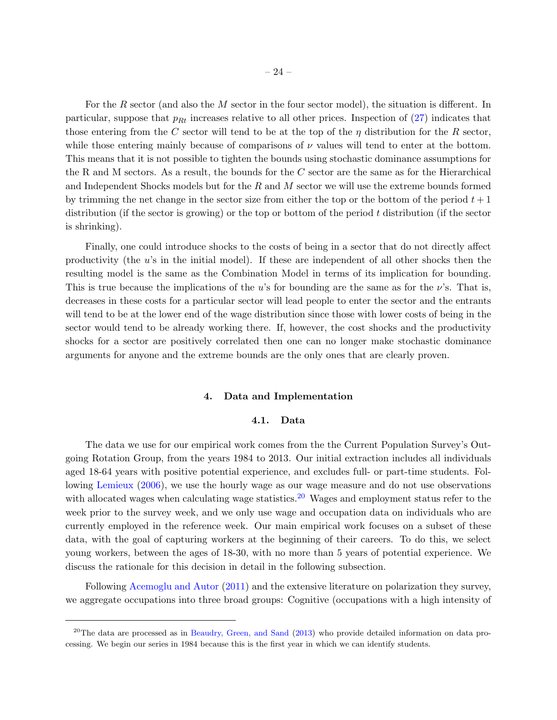For the R sector (and also the M sector in the four sector model), the situation is different. In particular, suppose that  $p_{Rt}$  increases relative to all other prices. Inspection of  $(27)$  indicates that those entering from the C sector will tend to be at the top of the  $\eta$  distribution for the R sector, while those entering mainly because of comparisons of  $\nu$  values will tend to enter at the bottom. This means that it is not possible to tighten the bounds using stochastic dominance assumptions for the R and M sectors. As a result, the bounds for the  $C$  sector are the same as for the Hierarchical and Independent Shocks models but for the  $R$  and  $M$  sector we will use the extreme bounds formed by trimming the net change in the sector size from either the top or the bottom of the period  $t + 1$ distribution (if the sector is growing) or the top or bottom of the period  $t$  distribution (if the sector is shrinking).

Finally, one could introduce shocks to the costs of being in a sector that do not directly affect productivity (the  $u$ 's in the initial model). If these are independent of all other shocks then the resulting model is the same as the Combination Model in terms of its implication for bounding. This is true because the implications of the u's for bounding are the same as for the  $\nu$ 's. That is, decreases in these costs for a particular sector will lead people to enter the sector and the entrants will tend to be at the lower end of the wage distribution since those with lower costs of being in the sector would tend to be already working there. If, however, the cost shocks and the productivity shocks for a sector are positively correlated then one can no longer make stochastic dominance arguments for anyone and the extreme bounds are the only ones that are clearly proven.

# 4. Data and Implementation

### 4.1. Data

The data we use for our empirical work comes from the the Current Population Survey's Outgoing Rotation Group, from the years 1984 to 2013. Our initial extraction includes all individuals aged 18-64 years with positive potential experience, and excludes full- or part-time students. Following [Lemieux](#page-46-8) [\(2006\)](#page-46-8), we use the hourly wage as our wage measure and do not use observations with allocated wages when calculating wage statistics.<sup>[20](#page-23-0)</sup> Wages and employment status refer to the week prior to the survey week, and we only use wage and occupation data on individuals who are currently employed in the reference week. Our main empirical work focuses on a subset of these data, with the goal of capturing workers at the beginning of their careers. To do this, we select young workers, between the ages of 18-30, with no more than 5 years of potential experience. We discuss the rationale for this decision in detail in the following subsection.

Following [Acemoglu and Autor](#page-45-2) [\(2011\)](#page-45-2) and the extensive literature on polarization they survey, we aggregate occupations into three broad groups: Cognitive (occupations with a high intensity of

<span id="page-23-0"></span> $^{20}$ The data are processed as in [Beaudry, Green, and Sand](#page-45-10) [\(2013\)](#page-45-10) who provide detailed information on data processing. We begin our series in 1984 because this is the first year in which we can identify students.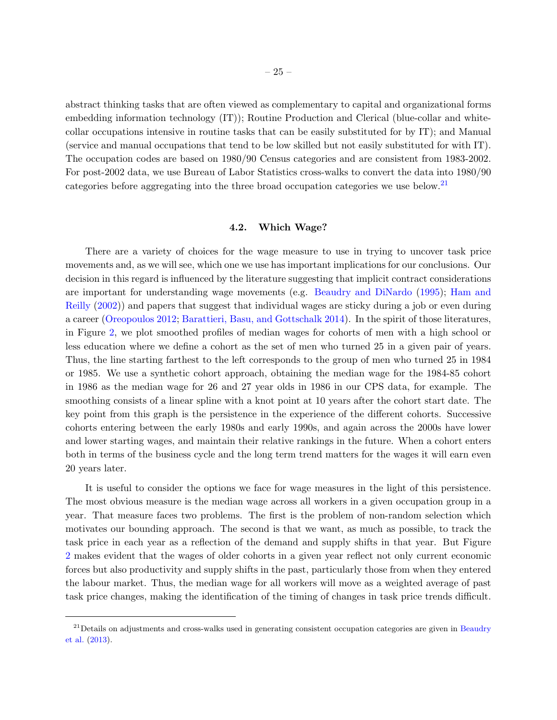abstract thinking tasks that are often viewed as complementary to capital and organizational forms embedding information technology (IT)); Routine Production and Clerical (blue-collar and whitecollar occupations intensive in routine tasks that can be easily substituted for by IT); and Manual (service and manual occupations that tend to be low skilled but not easily substituted for with IT). The occupation codes are based on 1980/90 Census categories and are consistent from 1983-2002. For post-2002 data, we use Bureau of Labor Statistics cross-walks to convert the data into 1980/90 categories before aggregating into the three broad occupation categories we use below.[21](#page-24-0)

### 4.2. Which Wage?

There are a variety of choices for the wage measure to use in trying to uncover task price movements and, as we will see, which one we use has important implications for our conclusions. Our decision in this regard is influenced by the literature suggesting that implicit contract considerations are important for understanding wage movements (e.g. [Beaudry and DiNardo](#page-45-6) [\(1995\)](#page-45-6); [Ham and](#page-46-9) [Reilly](#page-46-9) [\(2002\)](#page-46-9)) and papers that suggest that individual wages are sticky during a job or even during a career [\(Oreopoulos](#page-46-10) [2012;](#page-46-10) [Barattieri, Basu, and Gottschalk](#page-45-11) [2014\)](#page-45-11). In the spirit of those literatures, in Figure [2,](#page-25-0) we plot smoothed profiles of median wages for cohorts of men with a high school or less education where we define a cohort as the set of men who turned 25 in a given pair of years. Thus, the line starting farthest to the left corresponds to the group of men who turned 25 in 1984 or 1985. We use a synthetic cohort approach, obtaining the median wage for the 1984-85 cohort in 1986 as the median wage for 26 and 27 year olds in 1986 in our CPS data, for example. The smoothing consists of a linear spline with a knot point at 10 years after the cohort start date. The key point from this graph is the persistence in the experience of the different cohorts. Successive cohorts entering between the early 1980s and early 1990s, and again across the 2000s have lower and lower starting wages, and maintain their relative rankings in the future. When a cohort enters both in terms of the business cycle and the long term trend matters for the wages it will earn even 20 years later.

It is useful to consider the options we face for wage measures in the light of this persistence. The most obvious measure is the median wage across all workers in a given occupation group in a year. That measure faces two problems. The first is the problem of non-random selection which motivates our bounding approach. The second is that we want, as much as possible, to track the task price in each year as a reflection of the demand and supply shifts in that year. But Figure [2](#page-25-0) makes evident that the wages of older cohorts in a given year reflect not only current economic forces but also productivity and supply shifts in the past, particularly those from when they entered the labour market. Thus, the median wage for all workers will move as a weighted average of past task price changes, making the identification of the timing of changes in task price trends difficult.

<span id="page-24-0"></span> $21$  Details on adjustments and cross-walks used in generating consistent occupation categories are given in [Beaudry](#page-45-10) [et al.](#page-45-10) [\(2013\)](#page-45-10).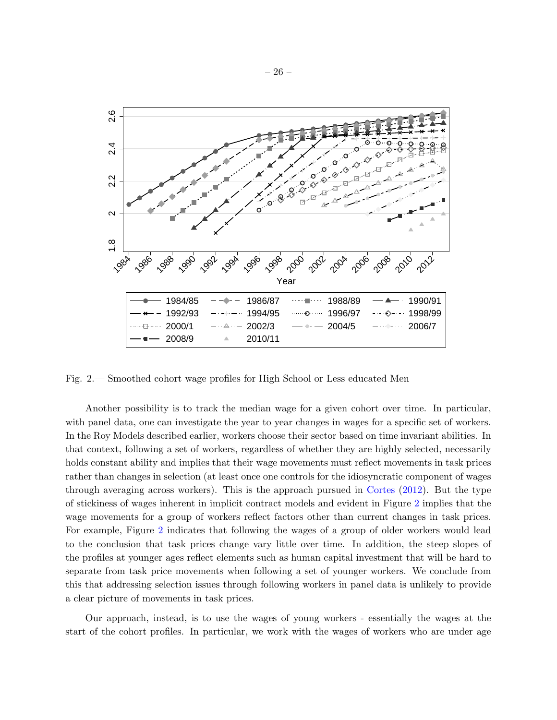

<span id="page-25-0"></span>Fig. 2.— Smoothed cohort wage profiles for High School or Less educated Men

Another possibility is to track the median wage for a given cohort over time. In particular, with panel data, one can investigate the year to year changes in wages for a specific set of workers. In the Roy Models described earlier, workers choose their sector based on time invariant abilities. In that context, following a set of workers, regardless of whether they are highly selected, necessarily holds constant ability and implies that their wage movements must reflect movements in task prices rather than changes in selection (at least once one controls for the idiosyncratic component of wages through averaging across workers). This is the approach pursued in [Cortes](#page-45-4) [\(2012\)](#page-45-4). But the type of stickiness of wages inherent in implicit contract models and evident in Figure [2](#page-25-0) implies that the wage movements for a group of workers reflect factors other than current changes in task prices. For example, Figure [2](#page-25-0) indicates that following the wages of a group of older workers would lead to the conclusion that task prices change vary little over time. In addition, the steep slopes of the profiles at younger ages reflect elements such as human capital investment that will be hard to separate from task price movements when following a set of younger workers. We conclude from this that addressing selection issues through following workers in panel data is unlikely to provide a clear picture of movements in task prices.

Our approach, instead, is to use the wages of young workers - essentially the wages at the start of the cohort profiles. In particular, we work with the wages of workers who are under age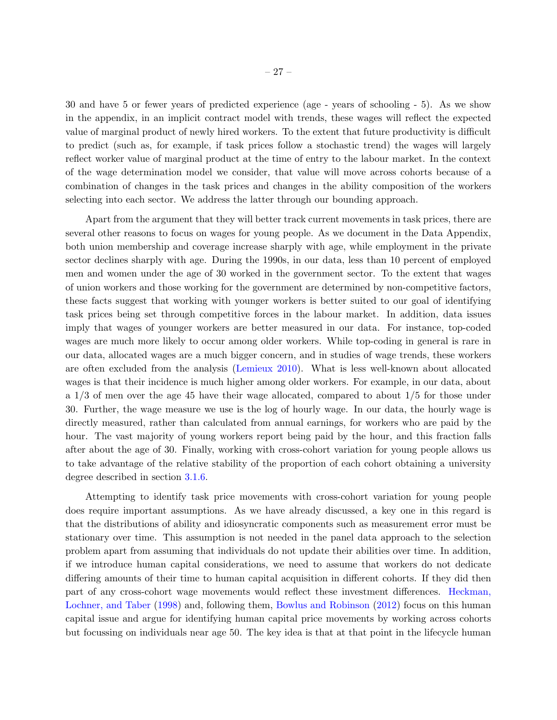30 and have 5 or fewer years of predicted experience (age - years of schooling - 5). As we show in the appendix, in an implicit contract model with trends, these wages will reflect the expected value of marginal product of newly hired workers. To the extent that future productivity is difficult to predict (such as, for example, if task prices follow a stochastic trend) the wages will largely reflect worker value of marginal product at the time of entry to the labour market. In the context of the wage determination model we consider, that value will move across cohorts because of a combination of changes in the task prices and changes in the ability composition of the workers selecting into each sector. We address the latter through our bounding approach.

Apart from the argument that they will better track current movements in task prices, there are several other reasons to focus on wages for young people. As we document in the Data Appendix, both union membership and coverage increase sharply with age, while employment in the private sector declines sharply with age. During the 1990s, in our data, less than 10 percent of employed men and women under the age of 30 worked in the government sector. To the extent that wages of union workers and those working for the government are determined by non-competitive factors, these facts suggest that working with younger workers is better suited to our goal of identifying task prices being set through competitive forces in the labour market. In addition, data issues imply that wages of younger workers are better measured in our data. For instance, top-coded wages are much more likely to occur among older workers. While top-coding in general is rare in our data, allocated wages are a much bigger concern, and in studies of wage trends, these workers are often excluded from the analysis [\(Lemieux](#page-46-11) [2010\)](#page-46-11). What is less well-known about allocated wages is that their incidence is much higher among older workers. For example, in our data, about a 1/3 of men over the age 45 have their wage allocated, compared to about 1/5 for those under 30. Further, the wage measure we use is the log of hourly wage. In our data, the hourly wage is directly measured, rather than calculated from annual earnings, for workers who are paid by the hour. The vast majority of young workers report being paid by the hour, and this fraction falls after about the age of 30. Finally, working with cross-cohort variation for young people allows us to take advantage of the relative stability of the proportion of each cohort obtaining a university degree described in section [3.1.6.](#page-19-1)

Attempting to identify task price movements with cross-cohort variation for young people does require important assumptions. As we have already discussed, a key one in this regard is that the distributions of ability and idiosyncratic components such as measurement error must be stationary over time. This assumption is not needed in the panel data approach to the selection problem apart from assuming that individuals do not update their abilities over time. In addition, if we introduce human capital considerations, we need to assume that workers do not dedicate differing amounts of their time to human capital acquisition in different cohorts. If they did then part of any cross-cohort wage movements would reflect these investment differences. [Heckman,](#page-46-12) [Lochner, and Taber](#page-46-12) [\(1998\)](#page-46-12) and, following them, [Bowlus and Robinson](#page-45-12) [\(2012\)](#page-45-12) focus on this human capital issue and argue for identifying human capital price movements by working across cohorts but focussing on individuals near age 50. The key idea is that at that point in the lifecycle human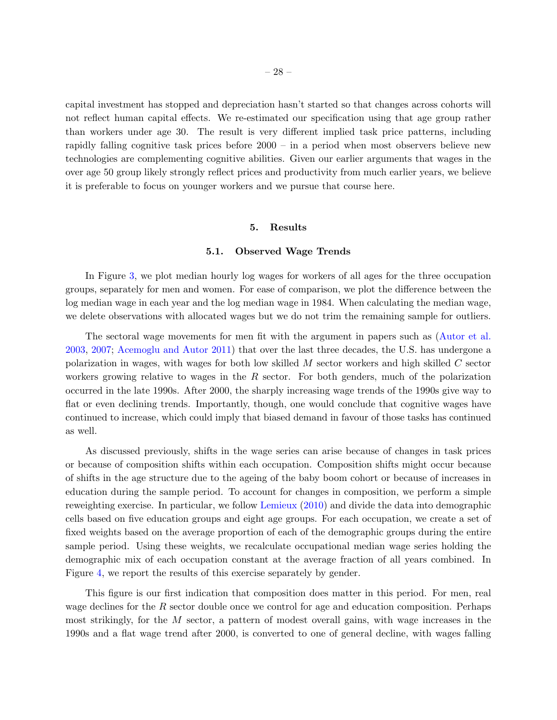capital investment has stopped and depreciation hasn't started so that changes across cohorts will not reflect human capital effects. We re-estimated our specification using that age group rather than workers under age 30. The result is very different implied task price patterns, including rapidly falling cognitive task prices before 2000 – in a period when most observers believe new technologies are complementing cognitive abilities. Given our earlier arguments that wages in the over age 50 group likely strongly reflect prices and productivity from much earlier years, we believe it is preferable to focus on younger workers and we pursue that course here.

#### 5. Results

#### 5.1. Observed Wage Trends

In Figure [3,](#page-28-0) we plot median hourly log wages for workers of all ages for the three occupation groups, separately for men and women. For ease of comparison, we plot the difference between the log median wage in each year and the log median wage in 1984. When calculating the median wage, we delete observations with allocated wages but we do not trim the remaining sample for outliers.

The sectoral wage movements for men fit with the argument in papers such as [\(Autor et al.](#page-45-0) [2003,](#page-45-0) [2007;](#page-45-1) [Acemoglu and Autor](#page-45-2) [2011\)](#page-45-2) that over the last three decades, the U.S. has undergone a polarization in wages, with wages for both low skilled M sector workers and high skilled C sector workers growing relative to wages in the  $R$  sector. For both genders, much of the polarization occurred in the late 1990s. After 2000, the sharply increasing wage trends of the 1990s give way to flat or even declining trends. Importantly, though, one would conclude that cognitive wages have continued to increase, which could imply that biased demand in favour of those tasks has continued as well.

As discussed previously, shifts in the wage series can arise because of changes in task prices or because of composition shifts within each occupation. Composition shifts might occur because of shifts in the age structure due to the ageing of the baby boom cohort or because of increases in education during the sample period. To account for changes in composition, we perform a simple reweighting exercise. In particular, we follow [Lemieux](#page-46-11) [\(2010\)](#page-46-11) and divide the data into demographic cells based on five education groups and eight age groups. For each occupation, we create a set of fixed weights based on the average proportion of each of the demographic groups during the entire sample period. Using these weights, we recalculate occupational median wage series holding the demographic mix of each occupation constant at the average fraction of all years combined. In Figure [4,](#page-29-0) we report the results of this exercise separately by gender.

This figure is our first indication that composition does matter in this period. For men, real wage declines for the  $R$  sector double once we control for age and education composition. Perhaps most strikingly, for the M sector, a pattern of modest overall gains, with wage increases in the 1990s and a flat wage trend after 2000, is converted to one of general decline, with wages falling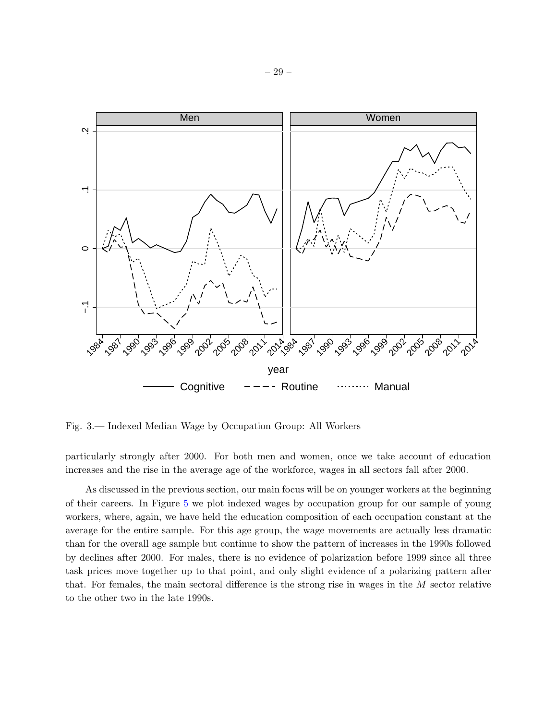

<span id="page-28-0"></span>Fig. 3.— Indexed Median Wage by Occupation Group: All Workers

particularly strongly after 2000. For both men and women, once we take account of education increases and the rise in the average age of the workforce, wages in all sectors fall after 2000.

As discussed in the previous section, our main focus will be on younger workers at the beginning of their careers. In Figure [5](#page-30-0) we plot indexed wages by occupation group for our sample of young workers, where, again, we have held the education composition of each occupation constant at the average for the entire sample. For this age group, the wage movements are actually less dramatic than for the overall age sample but continue to show the pattern of increases in the 1990s followed by declines after 2000. For males, there is no evidence of polarization before 1999 since all three task prices move together up to that point, and only slight evidence of a polarizing pattern after that. For females, the main sectoral difference is the strong rise in wages in the M sector relative to the other two in the late 1990s.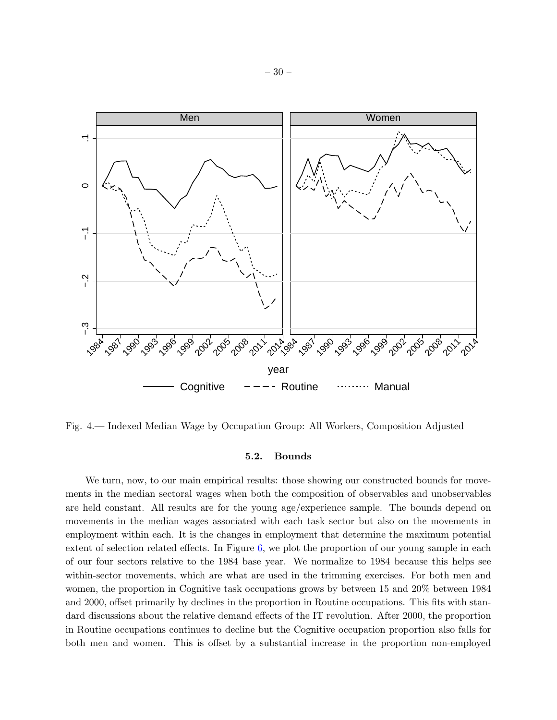

<span id="page-29-0"></span>Fig. 4.— Indexed Median Wage by Occupation Group: All Workers, Composition Adjusted

### 5.2. Bounds

We turn, now, to our main empirical results: those showing our constructed bounds for movements in the median sectoral wages when both the composition of observables and unobservables are held constant. All results are for the young age/experience sample. The bounds depend on movements in the median wages associated with each task sector but also on the movements in employment within each. It is the changes in employment that determine the maximum potential extent of selection related effects. In Figure [6,](#page-31-0) we plot the proportion of our young sample in each of our four sectors relative to the 1984 base year. We normalize to 1984 because this helps see within-sector movements, which are what are used in the trimming exercises. For both men and women, the proportion in Cognitive task occupations grows by between 15 and 20% between 1984 and 2000, offset primarily by declines in the proportion in Routine occupations. This fits with standard discussions about the relative demand effects of the IT revolution. After 2000, the proportion in Routine occupations continues to decline but the Cognitive occupation proportion also falls for both men and women. This is offset by a substantial increase in the proportion non-employed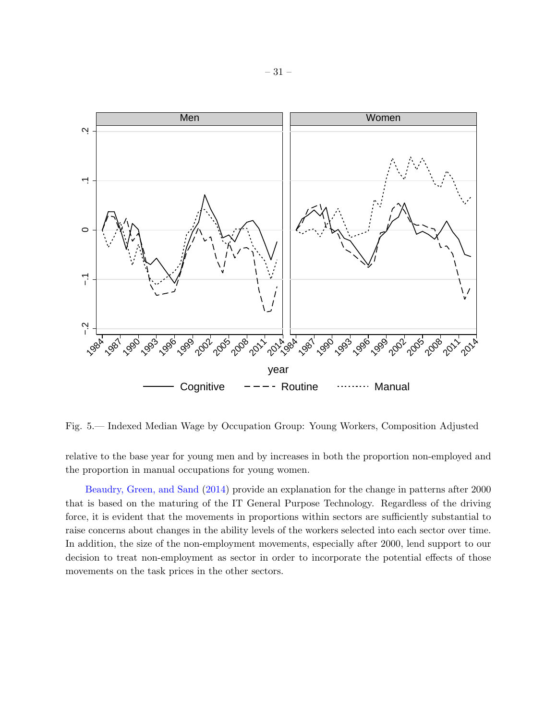

<span id="page-30-0"></span>Fig. 5.— Indexed Median Wage by Occupation Group: Young Workers, Composition Adjusted

relative to the base year for young men and by increases in both the proportion non-employed and the proportion in manual occupations for young women.

[Beaudry, Green, and Sand](#page-45-13) [\(2014\)](#page-45-13) provide an explanation for the change in patterns after 2000 that is based on the maturing of the IT General Purpose Technology. Regardless of the driving force, it is evident that the movements in proportions within sectors are sufficiently substantial to raise concerns about changes in the ability levels of the workers selected into each sector over time. In addition, the size of the non-employment movements, especially after 2000, lend support to our decision to treat non-employment as sector in order to incorporate the potential effects of those movements on the task prices in the other sectors.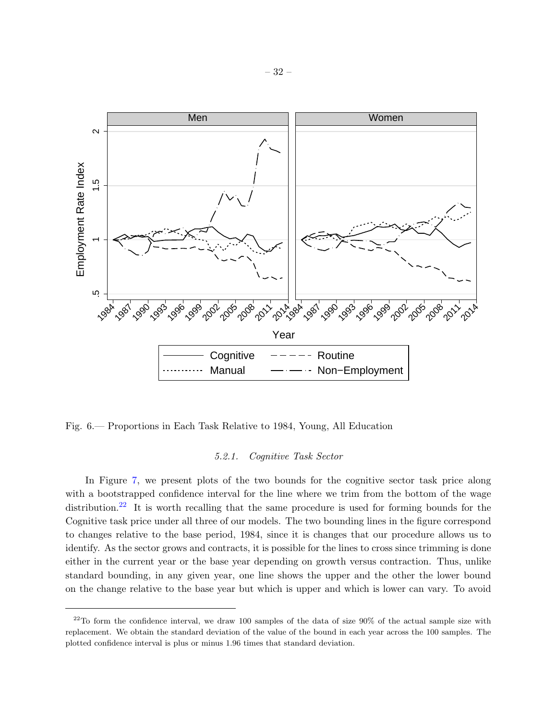

<span id="page-31-0"></span>Fig. 6.— Proportions in Each Task Relative to 1984, Young, All Education

### 5.2.1. Cognitive Task Sector

In Figure [7,](#page-33-0) we present plots of the two bounds for the cognitive sector task price along with a bootstrapped confidence interval for the line where we trim from the bottom of the wage distribution.<sup>[22](#page-31-1)</sup> It is worth recalling that the same procedure is used for forming bounds for the Cognitive task price under all three of our models. The two bounding lines in the figure correspond to changes relative to the base period, 1984, since it is changes that our procedure allows us to identify. As the sector grows and contracts, it is possible for the lines to cross since trimming is done either in the current year or the base year depending on growth versus contraction. Thus, unlike standard bounding, in any given year, one line shows the upper and the other the lower bound on the change relative to the base year but which is upper and which is lower can vary. To avoid

<span id="page-31-1"></span> $22$ To form the confidence interval, we draw 100 samples of the data of size  $90\%$  of the actual sample size with replacement. We obtain the standard deviation of the value of the bound in each year across the 100 samples. The plotted confidence interval is plus or minus 1.96 times that standard deviation.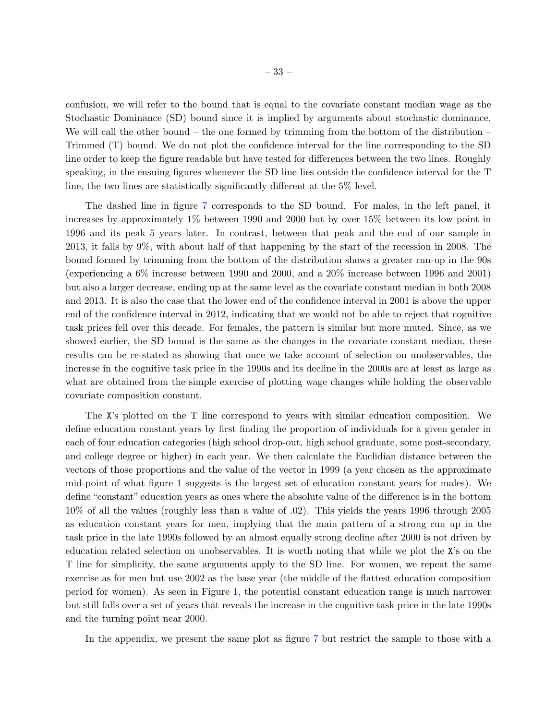confusion, we will refer to the bound that is equal to the covariate constant median wage as the Stochastic Dominance (SD) bound since it is implied by arguments about stochastic dominance. We will call the other bound – the one formed by trimming from the bottom of the distribution – Trimmed (T) bound. We do not plot the confidence interval for the line corresponding to the SD line order to keep the figure readable but have tested for differences between the two lines. Roughly speaking, in the ensuing figures whenever the SD line lies outside the confidence interval for the T line, the two lines are statistically significantly different at the 5% level.

The dashed line in figure [7](#page-33-0) corresponds to the SD bound. For males, in the left panel, it increases by approximately 1% between 1990 and 2000 but by over 15% between its low point in 1996 and its peak 5 years later. In contrast, between that peak and the end of our sample in 2013, it falls by 9%, with about half of that happening by the start of the recession in 2008. The bound formed by trimming from the bottom of the distribution shows a greater run-up in the 90s (experiencing a 6% increase between 1990 and 2000, and a 20% increase between 1996 and 2001) but also a larger decrease, ending up at the same level as the covariate constant median in both 2008 and 2013. It is also the case that the lower end of the confidence interval in 2001 is above the upper end of the confidence interval in 2012, indicating that we would not be able to reject that cognitive task prices fell over this decade. For females, the pattern is similar but more muted. Since, as we showed earlier, the SD bound is the same as the changes in the covariate constant median, these results can be re-stated as showing that once we take account of selection on unobservables, the increase in the cognitive task price in the 1990s and its decline in the 2000s are at least as large as what are obtained from the simple exercise of plotting wage changes while holding the observable covariate composition constant.

The X's plotted on the T line correspond to years with similar education composition. We define education constant years by first finding the proportion of individuals for a given gender in each of four education categories (high school drop-out, high school graduate, some post-secondary, and college degree or higher) in each year. We then calculate the Euclidian distance between the vectors of those proportions and the value of the vector in 1999 (a year chosen as the approximate mid-point of what figure [1](#page-20-0) suggests is the largest set of education constant years for males). We define "constant" education years as ones where the absolute value of the difference is in the bottom 10% of all the values (roughly less than a value of .02). This yields the years 1996 through 2005 as education constant years for men, implying that the main pattern of a strong run up in the task price in the late 1990s followed by an almost equally strong decline after 2000 is not driven by education related selection on unobservables. It is worth noting that while we plot the X's on the T line for simplicity, the same arguments apply to the SD line. For women, we repeat the same exercise as for men but use 2002 as the base year (the middle of the flattest education composition period for women). As seen in Figure [1,](#page-20-0) the potential constant education range is much narrower but still falls over a set of years that reveals the increase in the cognitive task price in the late 1990s and the turning point near 2000.

In the appendix, we present the same plot as figure [7](#page-33-0) but restrict the sample to those with a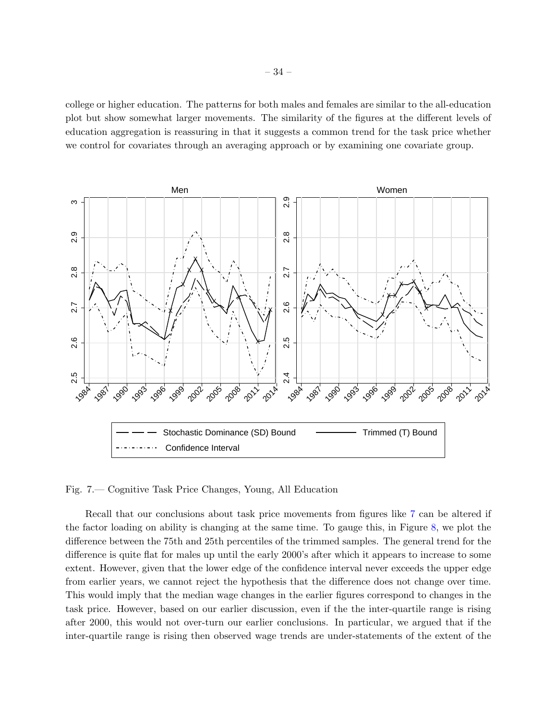college or higher education. The patterns for both males and females are similar to the all-education plot but show somewhat larger movements. The similarity of the figures at the different levels of education aggregation is reassuring in that it suggests a common trend for the task price whether we control for covariates through an averaging approach or by examining one covariate group.



<span id="page-33-0"></span>Fig. 7.— Cognitive Task Price Changes, Young, All Education

Recall that our conclusions about task price movements from figures like [7](#page-33-0) can be altered if the factor loading on ability is changing at the same time. To gauge this, in Figure [8,](#page-34-0) we plot the difference between the 75th and 25th percentiles of the trimmed samples. The general trend for the difference is quite flat for males up until the early 2000's after which it appears to increase to some extent. However, given that the lower edge of the confidence interval never exceeds the upper edge from earlier years, we cannot reject the hypothesis that the difference does not change over time. This would imply that the median wage changes in the earlier figures correspond to changes in the task price. However, based on our earlier discussion, even if the the inter-quartile range is rising after 2000, this would not over-turn our earlier conclusions. In particular, we argued that if the inter-quartile range is rising then observed wage trends are under-statements of the extent of the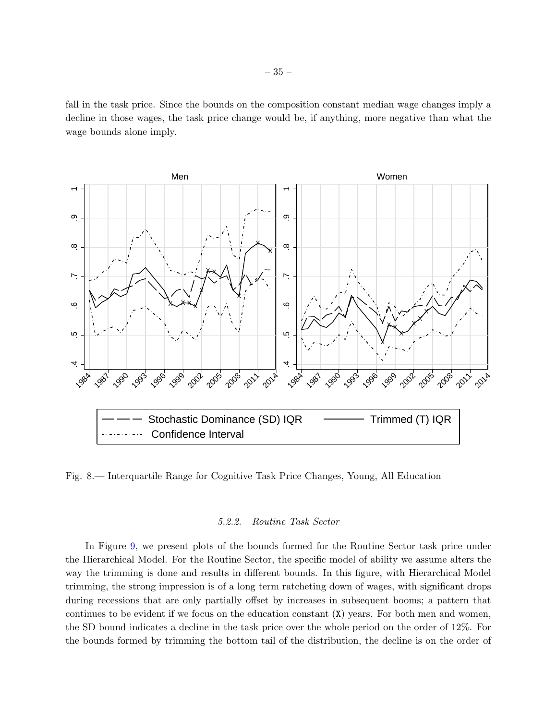fall in the task price. Since the bounds on the composition constant median wage changes imply a decline in those wages, the task price change would be, if anything, more negative than what the wage bounds alone imply.



<span id="page-34-0"></span>Fig. 8.— Interquartile Range for Cognitive Task Price Changes, Young, All Education

### 5.2.2. Routine Task Sector

In Figure [9,](#page-35-0) we present plots of the bounds formed for the Routine Sector task price under the Hierarchical Model. For the Routine Sector, the specific model of ability we assume alters the way the trimming is done and results in different bounds. In this figure, with Hierarchical Model trimming, the strong impression is of a long term ratcheting down of wages, with significant drops during recessions that are only partially offset by increases in subsequent booms; a pattern that continues to be evident if we focus on the education constant  $(X)$  years. For both men and women, the SD bound indicates a decline in the task price over the whole period on the order of 12%. For the bounds formed by trimming the bottom tail of the distribution, the decline is on the order of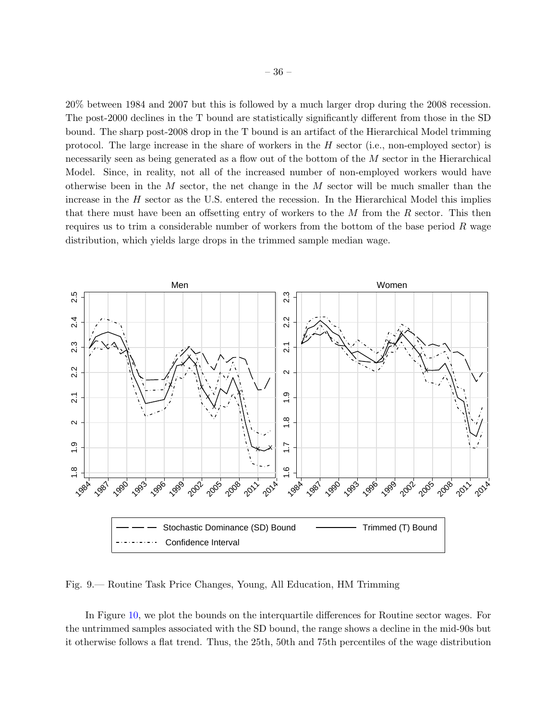20% between 1984 and 2007 but this is followed by a much larger drop during the 2008 recession. The post-2000 declines in the T bound are statistically significantly different from those in the SD bound. The sharp post-2008 drop in the T bound is an artifact of the Hierarchical Model trimming protocol. The large increase in the share of workers in the H sector (i.e., non-employed sector) is necessarily seen as being generated as a flow out of the bottom of the M sector in the Hierarchical Model. Since, in reality, not all of the increased number of non-employed workers would have otherwise been in the  $M$  sector, the net change in the  $M$  sector will be much smaller than the increase in the  $H$  sector as the U.S. entered the recession. In the Hierarchical Model this implies that there must have been an offsetting entry of workers to the  $M$  from the  $R$  sector. This then requires us to trim a considerable number of workers from the bottom of the base period  $R$  wage distribution, which yields large drops in the trimmed sample median wage.



<span id="page-35-0"></span>Fig. 9.— Routine Task Price Changes, Young, All Education, HM Trimming

In Figure [10,](#page-36-0) we plot the bounds on the interquartile differences for Routine sector wages. For the untrimmed samples associated with the SD bound, the range shows a decline in the mid-90s but it otherwise follows a flat trend. Thus, the 25th, 50th and 75th percentiles of the wage distribution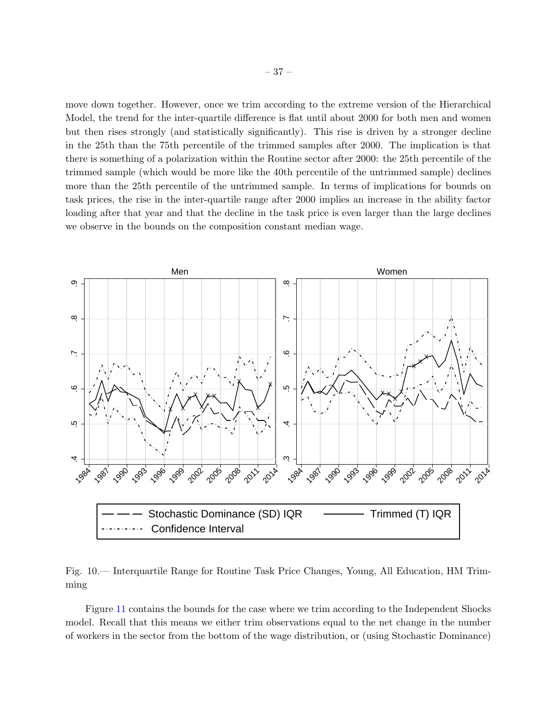move down together. However, once we trim according to the extreme version of the Hierarchical Model, the trend for the inter-quartile difference is flat until about 2000 for both men and women but then rises strongly (and statistically significantly). This rise is driven by a stronger decline in the 25th than the 75th percentile of the trimmed samples after 2000. The implication is that there is something of a polarization within the Routine sector after 2000: the 25th percentile of the trimmed sample (which would be more like the 40th percentile of the untrimmed sample) declines more than the 25th percentile of the untrimmed sample. In terms of implications for bounds on task prices, the rise in the inter-quartile range after 2000 implies an increase in the ability factor loading after that year and that the decline in the task price is even larger than the large declines we observe in the bounds on the composition constant median wage.



<span id="page-36-0"></span>Fig. 10.— Interquartile Range for Routine Task Price Changes, Young, All Education, HM Trimming

Figure [11](#page-37-0) contains the bounds for the case where we trim according to the Independent Shocks model. Recall that this means we either trim observations equal to the net change in the number of workers in the sector from the bottom of the wage distribution, or (using Stochastic Dominance)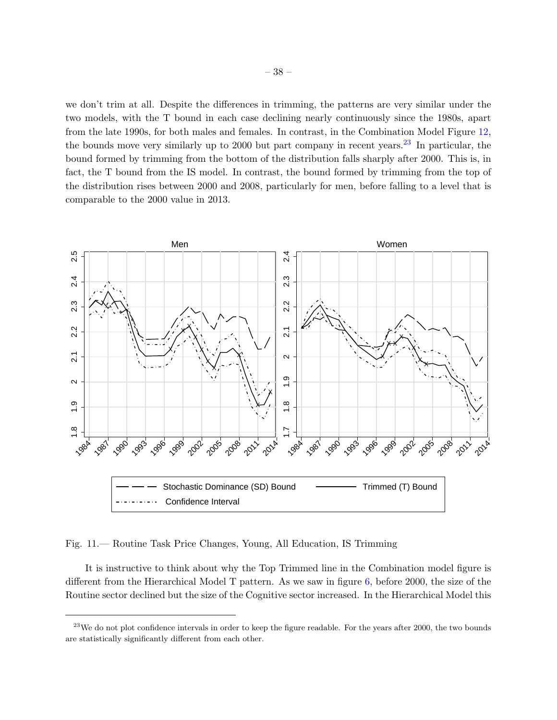we don't trim at all. Despite the differences in trimming, the patterns are very similar under the two models, with the T bound in each case declining nearly continuously since the 1980s, apart from the late 1990s, for both males and females. In contrast, in the Combination Model Figure [12,](#page-38-0) the bounds move very similarly up to 2000 but part company in recent years.<sup>[23](#page-37-1)</sup> In particular, the bound formed by trimming from the bottom of the distribution falls sharply after 2000. This is, in fact, the T bound from the IS model. In contrast, the bound formed by trimming from the top of the distribution rises between 2000 and 2008, particularly for men, before falling to a level that is comparable to the 2000 value in 2013.



<span id="page-37-0"></span>Fig. 11.— Routine Task Price Changes, Young, All Education, IS Trimming

It is instructive to think about why the Top Trimmed line in the Combination model figure is different from the Hierarchical Model T pattern. As we saw in figure [6,](#page-31-0) before 2000, the size of the Routine sector declined but the size of the Cognitive sector increased. In the Hierarchical Model this

<span id="page-37-1"></span> $23$ We do not plot confidence intervals in order to keep the figure readable. For the years after 2000, the two bounds are statistically significantly different from each other.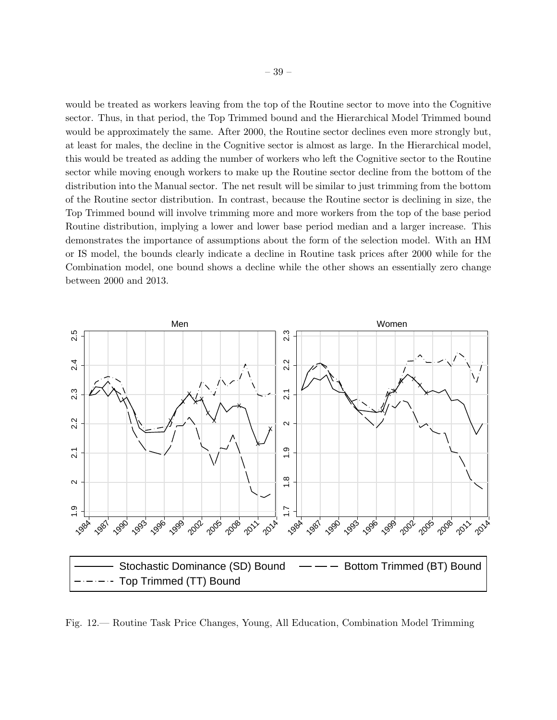would be treated as workers leaving from the top of the Routine sector to move into the Cognitive sector. Thus, in that period, the Top Trimmed bound and the Hierarchical Model Trimmed bound would be approximately the same. After 2000, the Routine sector declines even more strongly but, at least for males, the decline in the Cognitive sector is almost as large. In the Hierarchical model, this would be treated as adding the number of workers who left the Cognitive sector to the Routine sector while moving enough workers to make up the Routine sector decline from the bottom of the distribution into the Manual sector. The net result will be similar to just trimming from the bottom of the Routine sector distribution. In contrast, because the Routine sector is declining in size, the Top Trimmed bound will involve trimming more and more workers from the top of the base period Routine distribution, implying a lower and lower base period median and a larger increase. This demonstrates the importance of assumptions about the form of the selection model. With an HM or IS model, the bounds clearly indicate a decline in Routine task prices after 2000 while for the Combination model, one bound shows a decline while the other shows an essentially zero change between 2000 and 2013.



<span id="page-38-0"></span>Fig. 12.— Routine Task Price Changes, Young, All Education, Combination Model Trimming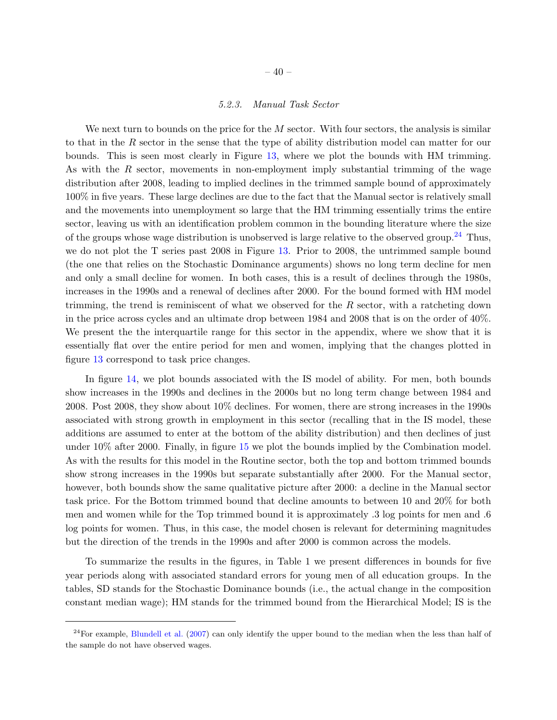### 5.2.3. Manual Task Sector

We next turn to bounds on the price for the  $M$  sector. With four sectors, the analysis is similar to that in the R sector in the sense that the type of ability distribution model can matter for our bounds. This is seen most clearly in Figure [13,](#page-40-0) where we plot the bounds with HM trimming. As with the R sector, movements in non-employment imply substantial trimming of the wage distribution after 2008, leading to implied declines in the trimmed sample bound of approximately 100% in five years. These large declines are due to the fact that the Manual sector is relatively small and the movements into unemployment so large that the HM trimming essentially trims the entire sector, leaving us with an identification problem common in the bounding literature where the size of the groups whose wage distribution is unobserved is large relative to the observed group.<sup>[24](#page-39-0)</sup> Thus, we do not plot the T series past 2008 in Figure [13.](#page-40-0) Prior to 2008, the untrimmed sample bound (the one that relies on the Stochastic Dominance arguments) shows no long term decline for men and only a small decline for women. In both cases, this is a result of declines through the 1980s, increases in the 1990s and a renewal of declines after 2000. For the bound formed with HM model trimming, the trend is reminiscent of what we observed for the  $R$  sector, with a ratcheting down in the price across cycles and an ultimate drop between 1984 and 2008 that is on the order of 40%. We present the the interquartile range for this sector in the appendix, where we show that it is essentially flat over the entire period for men and women, implying that the changes plotted in figure [13](#page-40-0) correspond to task price changes.

In figure [14,](#page-41-0) we plot bounds associated with the IS model of ability. For men, both bounds show increases in the 1990s and declines in the 2000s but no long term change between 1984 and 2008. Post 2008, they show about 10% declines. For women, there are strong increases in the 1990s associated with strong growth in employment in this sector (recalling that in the IS model, these additions are assumed to enter at the bottom of the ability distribution) and then declines of just under 10% after 2000. Finally, in figure [15](#page-42-0) we plot the bounds implied by the Combination model. As with the results for this model in the Routine sector, both the top and bottom trimmed bounds show strong increases in the 1990s but separate substantially after 2000. For the Manual sector, however, both bounds show the same qualitative picture after 2000: a decline in the Manual sector task price. For the Bottom trimmed bound that decline amounts to between 10 and 20% for both men and women while for the Top trimmed bound it is approximately .3 log points for men and .6 log points for women. Thus, in this case, the model chosen is relevant for determining magnitudes but the direction of the trends in the 1990s and after 2000 is common across the models.

To summarize the results in the figures, in Table 1 we present differences in bounds for five year periods along with associated standard errors for young men of all education groups. In the tables, SD stands for the Stochastic Dominance bounds (i.e., the actual change in the composition constant median wage); HM stands for the trimmed bound from the Hierarchical Model; IS is the

<span id="page-39-0"></span> $^{24}$ For example, [Blundell et al.](#page-45-7) [\(2007\)](#page-45-7) can only identify the upper bound to the median when the less than half of the sample do not have observed wages.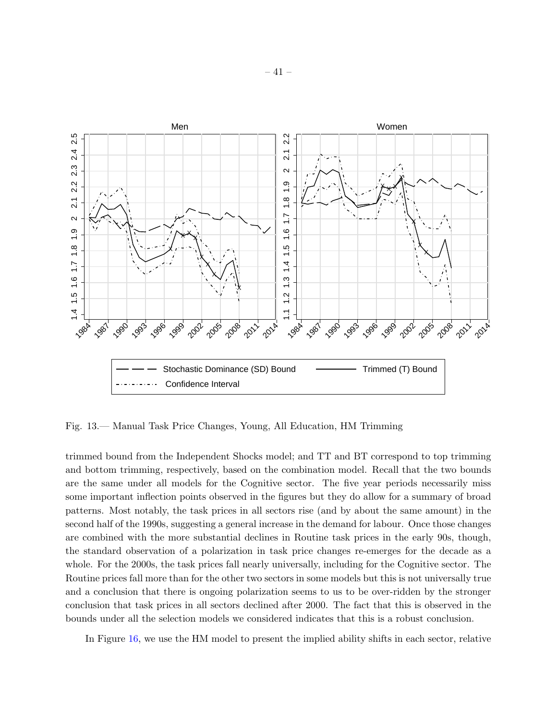

<span id="page-40-0"></span>Fig. 13.— Manual Task Price Changes, Young, All Education, HM Trimming

trimmed bound from the Independent Shocks model; and TT and BT correspond to top trimming and bottom trimming, respectively, based on the combination model. Recall that the two bounds are the same under all models for the Cognitive sector. The five year periods necessarily miss some important inflection points observed in the figures but they do allow for a summary of broad patterns. Most notably, the task prices in all sectors rise (and by about the same amount) in the second half of the 1990s, suggesting a general increase in the demand for labour. Once those changes are combined with the more substantial declines in Routine task prices in the early 90s, though, the standard observation of a polarization in task price changes re-emerges for the decade as a whole. For the 2000s, the task prices fall nearly universally, including for the Cognitive sector. The Routine prices fall more than for the other two sectors in some models but this is not universally true and a conclusion that there is ongoing polarization seems to us to be over-ridden by the stronger conclusion that task prices in all sectors declined after 2000. The fact that this is observed in the bounds under all the selection models we considered indicates that this is a robust conclusion.

In Figure [16,](#page-44-0) we use the HM model to present the implied ability shifts in each sector, relative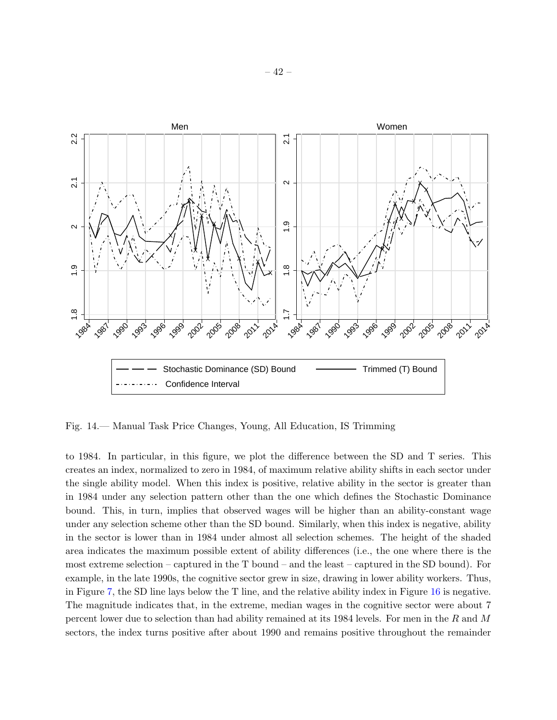

<span id="page-41-0"></span>Fig. 14.— Manual Task Price Changes, Young, All Education, IS Trimming

to 1984. In particular, in this figure, we plot the difference between the SD and T series. This creates an index, normalized to zero in 1984, of maximum relative ability shifts in each sector under the single ability model. When this index is positive, relative ability in the sector is greater than in 1984 under any selection pattern other than the one which defines the Stochastic Dominance bound. This, in turn, implies that observed wages will be higher than an ability-constant wage under any selection scheme other than the SD bound. Similarly, when this index is negative, ability in the sector is lower than in 1984 under almost all selection schemes. The height of the shaded area indicates the maximum possible extent of ability differences (i.e., the one where there is the most extreme selection – captured in the T bound – and the least – captured in the SD bound). For example, in the late 1990s, the cognitive sector grew in size, drawing in lower ability workers. Thus, in Figure [7,](#page-33-0) the SD line lays below the T line, and the relative ability index in Figure [16](#page-44-0) is negative. The magnitude indicates that, in the extreme, median wages in the cognitive sector were about 7 percent lower due to selection than had ability remained at its 1984 levels. For men in the R and M sectors, the index turns positive after about 1990 and remains positive throughout the remainder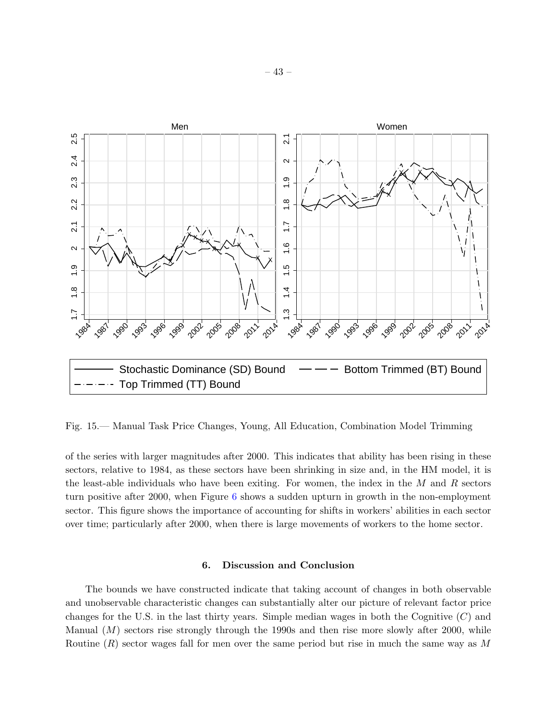

<span id="page-42-0"></span>Fig. 15.— Manual Task Price Changes, Young, All Education, Combination Model Trimming

of the series with larger magnitudes after 2000. This indicates that ability has been rising in these sectors, relative to 1984, as these sectors have been shrinking in size and, in the HM model, it is the least-able individuals who have been exiting. For women, the index in the  $M$  and  $R$  sectors turn positive after 2000, when Figure [6](#page-31-0) shows a sudden upturn in growth in the non-employment sector. This figure shows the importance of accounting for shifts in workers' abilities in each sector over time; particularly after 2000, when there is large movements of workers to the home sector.

# 6. Discussion and Conclusion

The bounds we have constructed indicate that taking account of changes in both observable and unobservable characteristic changes can substantially alter our picture of relevant factor price changes for the U.S. in the last thirty years. Simple median wages in both the Cognitive  $(C)$  and Manual  $(M)$  sectors rise strongly through the 1990s and then rise more slowly after 2000, while Routine  $(R)$  sector wages fall for men over the same period but rise in much the same way as M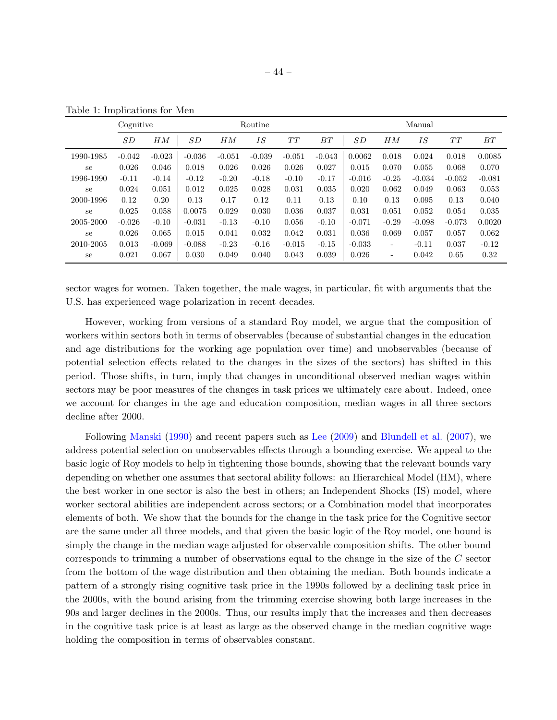|           | Cognitive |          | Routine  |          |          |          | Manual   |          |                          |          |          |          |
|-----------|-----------|----------|----------|----------|----------|----------|----------|----------|--------------------------|----------|----------|----------|
|           | SD        | HM       | SD       | HM       | IS       | TT       | BT       | SD       | HM                       | IS       | TT       | BT       |
| 1990-1985 | $-0.042$  | $-0.023$ | $-0.036$ | $-0.051$ | $-0.039$ | $-0.051$ | $-0.043$ | 0.0062   | 0.018                    | 0.024    | 0.018    | 0.0085   |
| se        | 0.026     | 0.046    | 0.018    | 0.026    | 0.026    | 0.026    | 0.027    | 0.015    | 0.070                    | 0.055    | 0.068    | 0.070    |
| 1996-1990 | $-0.11$   | $-0.14$  | $-0.12$  | $-0.20$  | $-0.18$  | $-0.10$  | $-0.17$  | $-0.016$ | $-0.25$                  | $-0.034$ | $-0.052$ | $-0.081$ |
| se        | 0.024     | 0.051    | 0.012    | 0.025    | 0.028    | 0.031    | 0.035    | 0.020    | 0.062                    | 0.049    | 0.063    | 0.053    |
| 2000-1996 | 0.12      | 0.20     | 0.13     | 0.17     | 0.12     | 0.11     | 0.13     | 0.10     | 0.13                     | 0.095    | 0.13     | 0.040    |
| se        | 0.025     | 0.058    | 0.0075   | 0.029    | 0.030    | 0.036    | 0.037    | 0.031    | 0.051                    | 0.052    | 0.054    | 0.035    |
| 2005-2000 | $-0.026$  | $-0.10$  | $-0.031$ | $-0.13$  | $-0.10$  | 0.056    | $-0.10$  | $-0.071$ | $-0.29$                  | $-0.098$ | $-0.073$ | 0.0020   |
| se        | 0.026     | 0.065    | 0.015    | 0.041    | 0.032    | 0.042    | 0.031    | 0.036    | 0.069                    | 0.057    | 0.057    | 0.062    |
| 2010-2005 | 0.013     | $-0.069$ | $-0.088$ | $-0.23$  | $-0.16$  | $-0.015$ | $-0.15$  | $-0.033$ | $\overline{\phantom{a}}$ | $-0.11$  | 0.037    | $-0.12$  |
| se        | 0.021     | 0.067    | 0.030    | 0.049    | 0.040    | 0.043    | 0.039    | 0.026    | $\overline{\phantom{a}}$ | 0.042    | 0.65     | 0.32     |

<span id="page-43-0"></span>Table 1: Implications for Men

sector wages for women. Taken together, the male wages, in particular, fit with arguments that the U.S. has experienced wage polarization in recent decades.

However, working from versions of a standard Roy model, we argue that the composition of workers within sectors both in terms of observables (because of substantial changes in the education and age distributions for the working age population over time) and unobservables (because of potential selection effects related to the changes in the sizes of the sectors) has shifted in this period. Those shifts, in turn, imply that changes in unconditional observed median wages within sectors may be poor measures of the changes in task prices we ultimately care about. Indeed, once we account for changes in the age and education composition, median wages in all three sectors decline after 2000.

Following [Manski](#page-46-3) [\(1990\)](#page-46-3) and recent papers such as [Lee](#page-46-5) [\(2009\)](#page-46-5) and [Blundell et al.](#page-45-7) [\(2007\)](#page-45-7), we address potential selection on unobservables effects through a bounding exercise. We appeal to the basic logic of Roy models to help in tightening those bounds, showing that the relevant bounds vary depending on whether one assumes that sectoral ability follows: an Hierarchical Model (HM), where the best worker in one sector is also the best in others; an Independent Shocks (IS) model, where worker sectoral abilities are independent across sectors; or a Combination model that incorporates elements of both. We show that the bounds for the change in the task price for the Cognitive sector are the same under all three models, and that given the basic logic of the Roy model, one bound is simply the change in the median wage adjusted for observable composition shifts. The other bound corresponds to trimming a number of observations equal to the change in the size of the C sector from the bottom of the wage distribution and then obtaining the median. Both bounds indicate a pattern of a strongly rising cognitive task price in the 1990s followed by a declining task price in the 2000s, with the bound arising from the trimming exercise showing both large increases in the 90s and larger declines in the 2000s. Thus, our results imply that the increases and then decreases in the cognitive task price is at least as large as the observed change in the median cognitive wage holding the composition in terms of observables constant.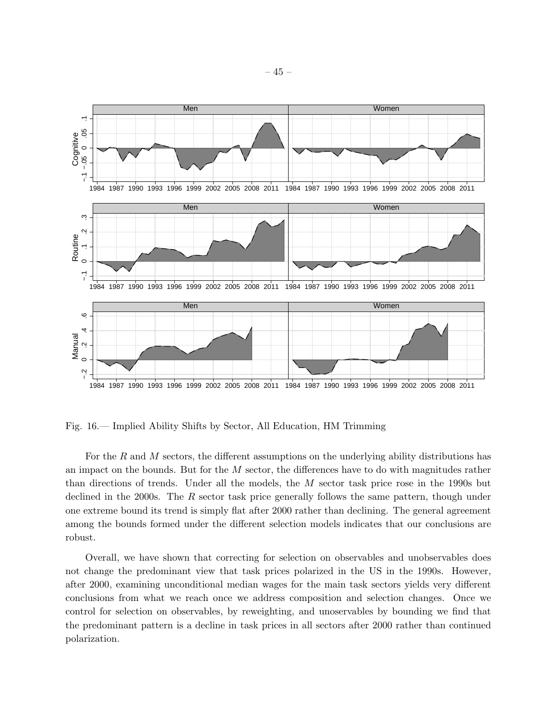

<span id="page-44-0"></span>Fig. 16.— Implied Ability Shifts by Sector, All Education, HM Trimming

For the R and M sectors, the different assumptions on the underlying ability distributions has an impact on the bounds. But for the  $M$  sector, the differences have to do with magnitudes rather than directions of trends. Under all the models, the M sector task price rose in the 1990s but declined in the 2000s. The  $R$  sector task price generally follows the same pattern, though under one extreme bound its trend is simply flat after 2000 rather than declining. The general agreement among the bounds formed under the different selection models indicates that our conclusions are robust.

Overall, we have shown that correcting for selection on observables and unobservables does not change the predominant view that task prices polarized in the US in the 1990s. However, after 2000, examining unconditional median wages for the main task sectors yields very different conclusions from what we reach once we address composition and selection changes. Once we control for selection on observables, by reweighting, and unoservables by bounding we find that the predominant pattern is a decline in task prices in all sectors after 2000 rather than continued polarization.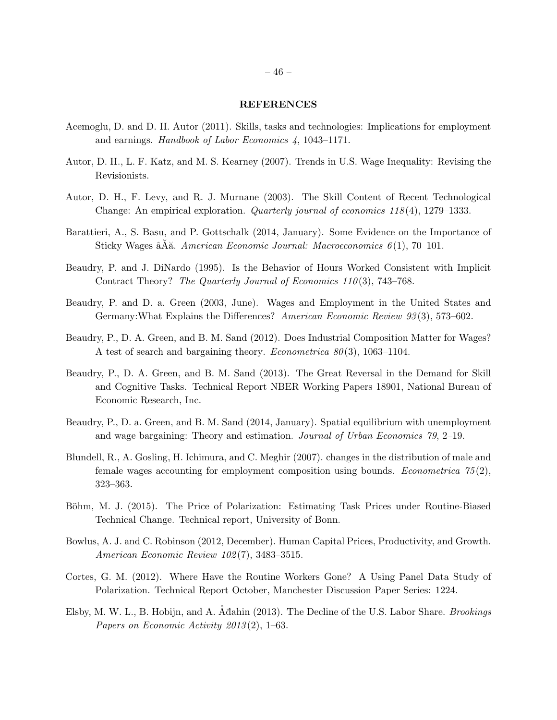### REFERENCES

- <span id="page-45-2"></span>Acemoglu, D. and D. H. Autor (2011). Skills, tasks and technologies: Implications for employment and earnings. Handbook of Labor Economics 4, 1043–1171.
- <span id="page-45-1"></span>Autor, D. H., L. F. Katz, and M. S. Kearney (2007). Trends in U.S. Wage Inequality: Revising the Revisionists.
- <span id="page-45-0"></span>Autor, D. H., F. Levy, and R. J. Murnane (2003). The Skill Content of Recent Technological Change: An empirical exploration. Quarterly journal of economics 118 (4), 1279–1333.
- <span id="page-45-11"></span>Barattieri, A., S. Basu, and P. Gottschalk (2014, January). Some Evidence on the Importance of Sticky Wages  $\hat{A}\tilde{A}\tilde{A}$ . American Economic Journal: Macroeconomics 6(1), 70–101.
- <span id="page-45-6"></span>Beaudry, P. and J. DiNardo (1995). Is the Behavior of Hours Worked Consistent with Implicit Contract Theory? The Quarterly Journal of Economics 110(3), 743–768.
- <span id="page-45-9"></span>Beaudry, P. and D. a. Green (2003, June). Wages and Employment in the United States and Germany: What Explains the Differences? American Economic Review 93(3), 573–602.
- <span id="page-45-3"></span>Beaudry, P., D. A. Green, and B. M. Sand (2012). Does Industrial Composition Matter for Wages? A test of search and bargaining theory. *Econometrica 80*(3), 1063–1104.
- <span id="page-45-10"></span>Beaudry, P., D. A. Green, and B. M. Sand (2013). The Great Reversal in the Demand for Skill and Cognitive Tasks. Technical Report NBER Working Papers 18901, National Bureau of Economic Research, Inc.
- <span id="page-45-13"></span>Beaudry, P., D. a. Green, and B. M. Sand (2014, January). Spatial equilibrium with unemployment and wage bargaining: Theory and estimation. Journal of Urban Economics 79, 2–19.
- <span id="page-45-7"></span>Blundell, R., A. Gosling, H. Ichimura, and C. Meghir (2007). changes in the distribution of male and female wages accounting for employment composition using bounds. *Econometrica*  $75(2)$ , 323–363.
- <span id="page-45-5"></span>Böhm, M. J. (2015). The Price of Polarization: Estimating Task Prices under Routine-Biased Technical Change. Technical report, University of Bonn.
- <span id="page-45-12"></span>Bowlus, A. J. and C. Robinson (2012, December). Human Capital Prices, Productivity, and Growth. American Economic Review 102 (7), 3483–3515.
- <span id="page-45-4"></span>Cortes, G. M. (2012). Where Have the Routine Workers Gone? A Using Panel Data Study of Polarization. Technical Report October, Manchester Discussion Paper Series: 1224.
- <span id="page-45-8"></span>Elsby, M. W. L., B. Hobijn, and A. Adahin (2013). The Decline of the U.S. Labor Share. *Brookings* Papers on Economic Activity  $2013(2)$ , 1–63.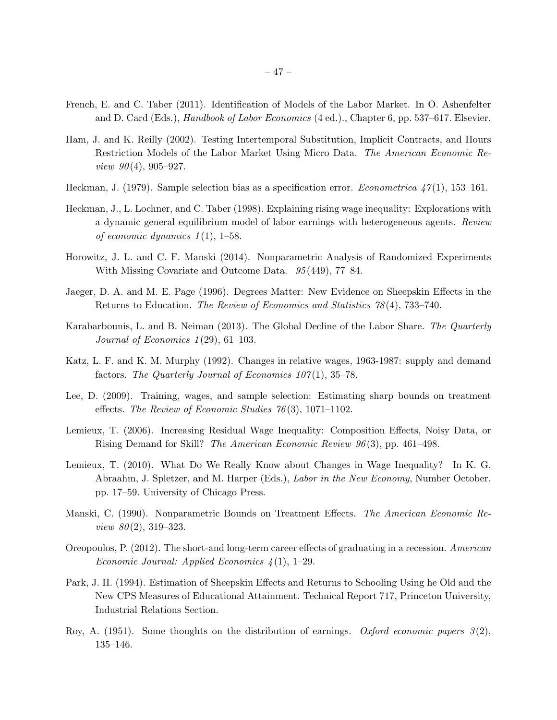- <span id="page-46-7"></span>French, E. and C. Taber (2011). Identification of Models of the Labor Market. In O. Ashenfelter and D. Card (Eds.), *Handbook of Labor Economics* (4 ed.)., Chapter 6, pp. 537–617. Elsevier.
- <span id="page-46-9"></span>Ham, J. and K. Reilly (2002). Testing Intertemporal Substitution, Implicit Contracts, and Hours Restriction Models of the Labor Market Using Micro Data. The American Economic Re*view 90*(4), 905–927.
- <span id="page-46-1"></span>Heckman, J. (1979). Sample selection bias as a specification error. Econometrica  $47(1)$ , 153–161.
- <span id="page-46-12"></span>Heckman, J., L. Lochner, and C. Taber (1998). Explaining rising wage inequality: Explorations with a dynamic general equilibrium model of labor earnings with heterogeneous agents. Review of economic dynamics  $1(1)$ , 1–58.
- <span id="page-46-4"></span>Horowitz, J. L. and C. F. Manski (2014). Nonparametric Analysis of Randomized Experiments With Missing Covariate and Outcome Data.  $95(449)$ , 77–84.
- <span id="page-46-14"></span>Jaeger, D. A. and M. E. Page (1996). Degrees Matter: New Evidence on Sheepskin Effects in the Returns to Education. The Review of Economics and Statistics 78 (4), 733–740.
- <span id="page-46-6"></span>Karabarbounis, L. and B. Neiman (2013). The Global Decline of the Labor Share. The Quarterly Journal of Economics  $1(29)$ , 61-103.
- <span id="page-46-0"></span>Katz, L. F. and K. M. Murphy (1992). Changes in relative wages, 1963-1987: supply and demand factors. The Quarterly Journal of Economics  $107(1)$ , 35-78.
- <span id="page-46-5"></span>Lee, D. (2009). Training, wages, and sample selection: Estimating sharp bounds on treatment effects. The Review of Economic Studies  $76(3)$ , 1071–1102.
- <span id="page-46-8"></span>Lemieux, T. (2006). Increasing Residual Wage Inequality: Composition Effects, Noisy Data, or Rising Demand for Skill? The American Economic Review 96 (3), pp. 461–498.
- <span id="page-46-11"></span>Lemieux, T. (2010). What Do We Really Know about Changes in Wage Inequality? In K. G. Abraahm, J. Spletzer, and M. Harper (Eds.), Labor in the New Economy, Number October, pp. 17–59. University of Chicago Press.
- <span id="page-46-3"></span>Manski, C. (1990). Nonparametric Bounds on Treatment Effects. The American Economic Re*view 80* $(2)$ , 319–323.
- <span id="page-46-10"></span>Oreopoulos, P. (2012). The short-and long-term career effects of graduating in a recession. American Economic Journal: Applied Economics  $\mathcal{L}(1)$ , 1–29.
- <span id="page-46-13"></span>Park, J. H. (1994). Estimation of Sheepskin Effects and Returns to Schooling Using he Old and the New CPS Measures of Educational Attainment. Technical Report 717, Princeton University, Industrial Relations Section.
- <span id="page-46-2"></span>Roy, A. (1951). Some thoughts on the distribution of earnings. Oxford economic papers  $3(2)$ , 135–146.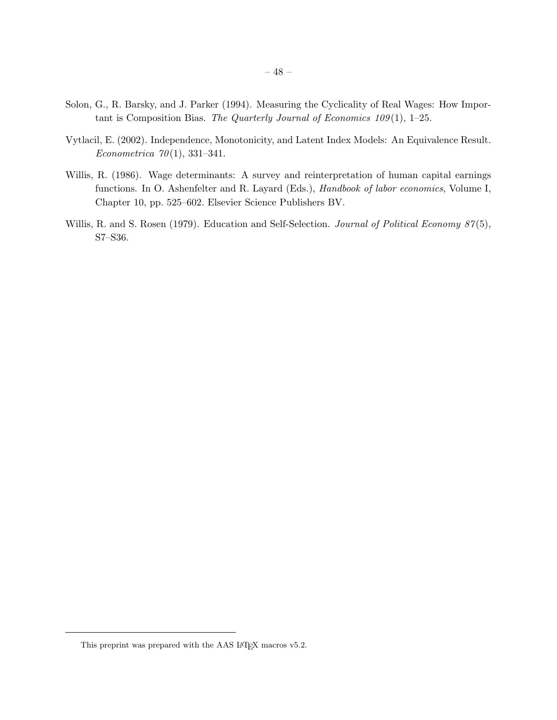- <span id="page-47-0"></span>Solon, G., R. Barsky, and J. Parker (1994). Measuring the Cyclicality of Real Wages: How Important is Composition Bias. The Quarterly Journal of Economics  $109(1)$ , 1–25.
- <span id="page-47-3"></span>Vytlacil, E. (2002). Independence, Monotonicity, and Latent Index Models: An Equivalence Result. Econometrica  $70(1)$ , 331-341.
- <span id="page-47-2"></span>Willis, R. (1986). Wage determinants: A survey and reinterpretation of human capital earnings functions. In O. Ashenfelter and R. Layard (Eds.), Handbook of labor economics, Volume I, Chapter 10, pp. 525–602. Elsevier Science Publishers BV.
- <span id="page-47-1"></span>Willis, R. and S. Rosen (1979). Education and Self-Selection. Journal of Political Economy 87(5), S7–S36.

This preprint was prepared with the AAS IATEX macros v5.2.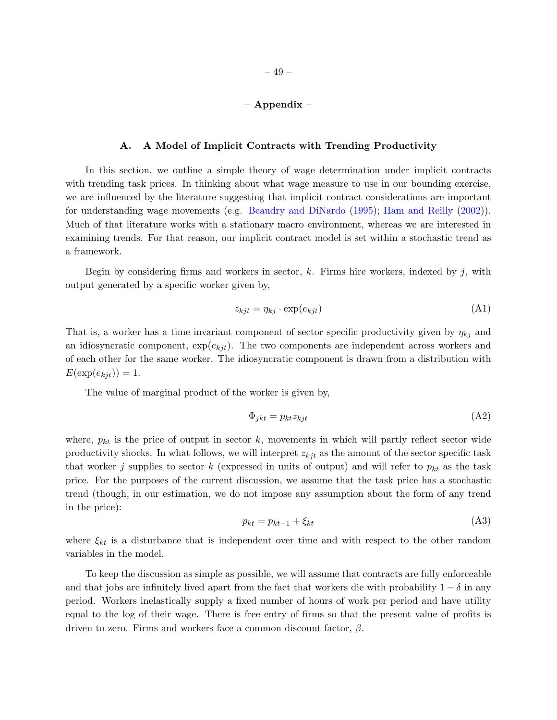# – Appendix –

#### A. A Model of Implicit Contracts with Trending Productivity

In this section, we outline a simple theory of wage determination under implicit contracts with trending task prices. In thinking about what wage measure to use in our bounding exercise, we are influenced by the literature suggesting that implicit contract considerations are important for understanding wage movements (e.g. [Beaudry and DiNardo](#page-45-6) [\(1995\)](#page-45-6); [Ham and Reilly](#page-46-9) [\(2002\)](#page-46-9)). Much of that literature works with a stationary macro environment, whereas we are interested in examining trends. For that reason, our implicit contract model is set within a stochastic trend as a framework.

Begin by considering firms and workers in sector,  $k$ . Firms hire workers, indexed by j, with output generated by a specific worker given by,

$$
z_{kjt} = \eta_{kj} \cdot \exp(e_{kjt}) \tag{A1}
$$

That is, a worker has a time invariant component of sector specific productivity given by  $\eta_{kj}$  and an idiosyncratic component,  $\exp(e_{kjt})$ . The two components are independent across workers and of each other for the same worker. The idiosyncratic component is drawn from a distribution with  $E(\exp(e_{kit})) = 1.$ 

The value of marginal product of the worker is given by,

$$
\Phi_{jkt} = p_{kt} z_{kjt} \tag{A2}
$$

where,  $p_{kt}$  is the price of output in sector k, movements in which will partly reflect sector wide productivity shocks. In what follows, we will interpret  $z_{kjt}$  as the amount of the sector specific task that worker j supplies to sector k (expressed in units of output) and will refer to  $p_{kt}$  as the task price. For the purposes of the current discussion, we assume that the task price has a stochastic trend (though, in our estimation, we do not impose any assumption about the form of any trend in the price):

$$
p_{kt} = p_{kt-1} + \xi_{kt} \tag{A3}
$$

where  $\xi_{kt}$  is a disturbance that is independent over time and with respect to the other random variables in the model.

To keep the discussion as simple as possible, we will assume that contracts are fully enforceable and that jobs are infinitely lived apart from the fact that workers die with probability  $1 - \delta$  in any period. Workers inelastically supply a fixed number of hours of work per period and have utility equal to the log of their wage. There is free entry of firms so that the present value of profits is driven to zero. Firms and workers face a common discount factor,  $\beta$ .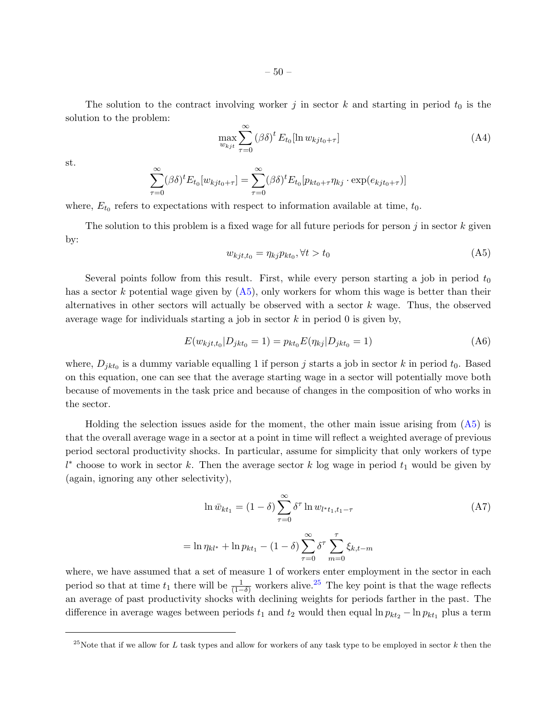The solution to the contract involving worker j in sector k and starting in period  $t_0$  is the solution to the problem:

$$
\max_{w_{kjt}} \sum_{\tau=0}^{\infty} (\beta \delta)^t E_{t_0}[\ln w_{kjt_0+\tau}]
$$
\n(A4)

st.

$$
\sum_{\tau=0}^{\infty} (\beta \delta)^{t} E_{t_{0}}[w_{k j t_{0}+\tau}] = \sum_{\tau=0}^{\infty} (\beta \delta)^{t} E_{t_{0}}[p_{k t_{0}+\tau} \eta_{k j} \cdot \exp(e_{k j t_{0}+\tau})]
$$

where,  $E_{t_0}$  refers to expectations with respect to information available at time,  $t_0$ .

The solution to this problem is a fixed wage for all future periods for person  $j$  in sector  $k$  given by:

<span id="page-49-0"></span>
$$
w_{kjt,t_0} = \eta_{kj} p_{kt_0}, \forall t > t_0
$$
\n
$$
(A5)
$$

Several points follow from this result. First, while every person starting a job in period  $t_0$ has a sector k potential wage given by  $(A5)$ , only workers for whom this wage is better than their alternatives in other sectors will actually be observed with a sector  $k$  wage. Thus, the observed average wage for individuals starting a job in sector  $k$  in period 0 is given by,

$$
E(w_{kjt,t_0}|D_{jkt_0} = 1) = p_{kt_0}E(\eta_{kj}|D_{jkt_0} = 1)
$$
\n(A6)

where,  $D_{jkt_0}$  is a dummy variable equalling 1 if person j starts a job in sector k in period  $t_0$ . Based on this equation, one can see that the average starting wage in a sector will potentially move both because of movements in the task price and because of changes in the composition of who works in the sector.

Holding the selection issues aside for the moment, the other main issue arising from [\(A5\)](#page-49-0) is that the overall average wage in a sector at a point in time will reflect a weighted average of previous period sectoral productivity shocks. In particular, assume for simplicity that only workers of type  $l^*$  choose to work in sector k. Then the average sector k log wage in period  $t_1$  would be given by (again, ignoring any other selectivity),

$$
\ln \bar{w}_{kt_1} = (1 - \delta) \sum_{\tau=0}^{\infty} \delta^{\tau} \ln w_{l^*t_1, t_1 - \tau}
$$
\n
$$
= \ln \eta_{kl^*} + \ln p_{kt_1} - (1 - \delta) \sum_{\tau=0}^{\infty} \delta^{\tau} \sum_{k,t-m}^{\tau} \xi_{k,t-m}
$$
\n(A7)

 $m=0$ 

where, we have assumed that a set of measure 1 of workers enter employment in the sector in each period so that at time  $t_1$  there will be  $\frac{1}{(1-\delta)}$  workers alive.<sup>[25](#page-49-1)</sup> The key point is that the wage reflects an average of past productivity shocks with declining weights for periods farther in the past. The difference in average wages between periods  $t_1$  and  $t_2$  would then equal  $\ln p_{kt_2} - \ln p_{kt_1}$  plus a term

 $\tau = 0$ 

<span id="page-49-1"></span><sup>&</sup>lt;sup>25</sup>Note that if we allow for L task types and allow for workers of any task type to be employed in sector k then the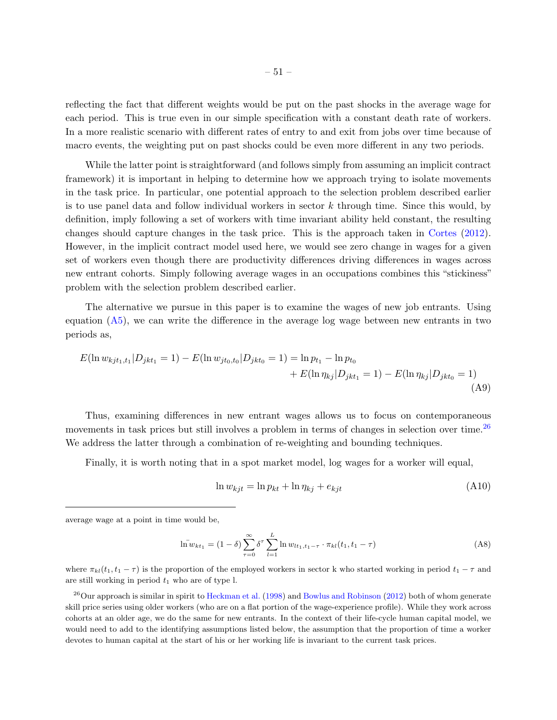reflecting the fact that different weights would be put on the past shocks in the average wage for each period. This is true even in our simple specification with a constant death rate of workers. In a more realistic scenario with different rates of entry to and exit from jobs over time because of macro events, the weighting put on past shocks could be even more different in any two periods.

While the latter point is straightforward (and follows simply from assuming an implicit contract framework) it is important in helping to determine how we approach trying to isolate movements in the task price. In particular, one potential approach to the selection problem described earlier is to use panel data and follow individual workers in sector  $k$  through time. Since this would, by definition, imply following a set of workers with time invariant ability held constant, the resulting changes should capture changes in the task price. This is the approach taken in [Cortes](#page-45-4) [\(2012\)](#page-45-4). However, in the implicit contract model used here, we would see zero change in wages for a given set of workers even though there are productivity differences driving differences in wages across new entrant cohorts. Simply following average wages in an occupations combines this "stickiness" problem with the selection problem described earlier.

The alternative we pursue in this paper is to examine the wages of new job entrants. Using equation  $(A5)$ , we can write the difference in the average log wage between new entrants in two periods as,

$$
E(\ln w_{kjt_1,t_1}|D_{jkt_1} = 1) - E(\ln w_{jt_0,t_0}|D_{jkt_0} = 1) = \ln p_{t_1} - \ln p_{t_0}
$$
  
+ 
$$
E(\ln \eta_{kj}|D_{jkt_1} = 1) - E(\ln \eta_{kj}|D_{jkt_0} = 1)
$$
(A9)

Thus, examining differences in new entrant wages allows us to focus on contemporaneous movements in task prices but still involves a problem in terms of changes in selection over time.<sup>[26](#page-50-0)</sup> We address the latter through a combination of re-weighting and bounding techniques.

Finally, it is worth noting that in a spot market model, log wages for a worker will equal,

$$
\ln w_{kjt} = \ln p_{kt} + \ln \eta_{kj} + e_{kjt} \tag{A10}
$$

average wage at a point in time would be,

$$
\bar{\ln w}_{kt_1} = (1 - \delta) \sum_{\tau=0}^{\infty} \delta^{\tau} \sum_{l=1}^{L} \ln w_{lt_1, t_1 - \tau} \cdot \pi_{kl}(t_1, t_1 - \tau)
$$
\n(A8)

where  $\pi_{kl}(t_1, t_1 - \tau)$  is the proportion of the employed workers in sector k who started working in period  $t_1 - \tau$  and are still working in period  $t_1$  who are of type l.

<span id="page-50-0"></span> $^{26}$ Our approach is similar in spirit to [Heckman et al.](#page-46-12) [\(1998\)](#page-46-12) and [Bowlus and Robinson](#page-45-12) [\(2012\)](#page-45-12) both of whom generate skill price series using older workers (who are on a flat portion of the wage-experience profile). While they work across cohorts at an older age, we do the same for new entrants. In the context of their life-cycle human capital model, we would need to add to the identifying assumptions listed below, the assumption that the proportion of time a worker devotes to human capital at the start of his or her working life is invariant to the current task prices.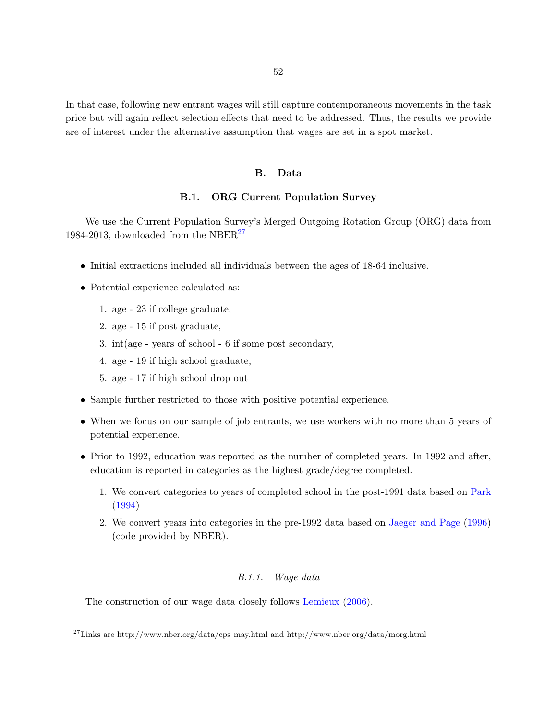In that case, following new entrant wages will still capture contemporaneous movements in the task price but will again reflect selection effects that need to be addressed. Thus, the results we provide are of interest under the alternative assumption that wages are set in a spot market.

### B. Data

# B.1. ORG Current Population Survey

We use the Current Population Survey's Merged Outgoing Rotation Group (ORG) data from 1984-2013, downloaded from the NBER<sup>[27](#page-51-0)</sup>

- Initial extractions included all individuals between the ages of 18-64 inclusive.
- Potential experience calculated as:
	- 1. age 23 if college graduate,
	- 2. age 15 if post graduate,
	- 3. int(age years of school 6 if some post secondary,
	- 4. age 19 if high school graduate,
	- 5. age 17 if high school drop out
- Sample further restricted to those with positive potential experience.
- When we focus on our sample of job entrants, we use workers with no more than 5 years of potential experience.
- Prior to 1992, education was reported as the number of completed years. In 1992 and after, education is reported in categories as the highest grade/degree completed.
	- 1. We convert categories to years of completed school in the post-1991 data based on [Park](#page-46-13) [\(1994\)](#page-46-13)
	- 2. We convert years into categories in the pre-1992 data based on [Jaeger and Page](#page-46-14) [\(1996\)](#page-46-14) (code provided by NBER).

### B.1.1. Wage data

The construction of our wage data closely follows [Lemieux](#page-46-8) [\(2006\)](#page-46-8).

<span id="page-51-0"></span> $^{27}{\rm Links}$  are http://www.nber.org/data/cps\_may.html and http://www.nber.org/data/morg.html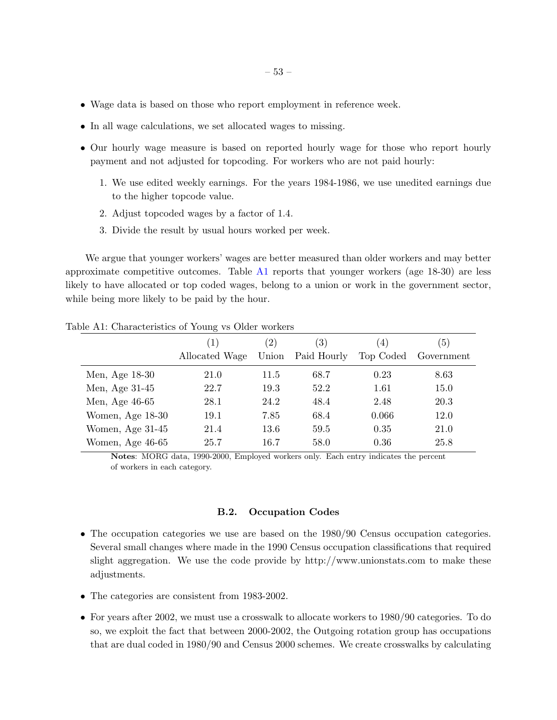- Wage data is based on those who report employment in reference week.
- In all wage calculations, we set allocated wages to missing.
- Our hourly wage measure is based on reported hourly wage for those who report hourly payment and not adjusted for topcoding. For workers who are not paid hourly:
	- 1. We use edited weekly earnings. For the years 1984-1986, we use unedited earnings due to the higher topcode value.
	- 2. Adjust topcoded wages by a factor of 1.4.
	- 3. Divide the result by usual hours worked per week.

We argue that younger workers' wages are better measured than older workers and may better approximate competitive outcomes. Table [A1](#page-43-0) reports that younger workers (age 18-30) are less likely to have allocated or top coded wages, belong to a union or work in the government sector, while being more likely to be paid by the hour.

|                  | $\tilde{}$                         |                            |                                 |                               |                   |
|------------------|------------------------------------|----------------------------|---------------------------------|-------------------------------|-------------------|
|                  | $\left(1\right)$<br>Allocated Wage | $\left( 2\right)$<br>Union | $\left(3\right)$<br>Paid Hourly | $\left(4\right)$<br>Top Coded | (5)<br>Government |
| Men, Age 18-30   | 21.0                               | 11.5                       | 68.7                            | 0.23                          | 8.63              |
| Men, Age 31-45   | 22.7                               | 19.3                       | 52.2                            | 1.61                          | 15.0              |
| Men, Age 46-65   | 28.1                               | 24.2                       | 48.4                            | 2.48                          | 20.3              |
| Women, Age 18-30 | 19.1                               | 7.85                       | 68.4                            | 0.066                         | 12.0              |
| Women, Age 31-45 | 21.4                               | 13.6                       | 59.5                            | 0.35                          | 21.0              |
| Women, Age 46-65 | 25.7                               | 16.7                       | 58.0                            | 0.36                          | 25.8              |

Table A1: Characteristics of Young vs Older workers

Notes: MORG data, 1990-2000, Employed workers only. Each entry indicates the percent of workers in each category.

# B.2. Occupation Codes

- The occupation categories we use are based on the 1980/90 Census occupation categories. Several small changes where made in the 1990 Census occupation classifications that required slight aggregation. We use the code provide by http://www.unionstats.com to make these adjustments.
- The categories are consistent from 1983-2002.
- For years after 2002, we must use a crosswalk to allocate workers to 1980/90 categories. To do so, we exploit the fact that between 2000-2002, the Outgoing rotation group has occupations that are dual coded in 1980/90 and Census 2000 schemes. We create crosswalks by calculating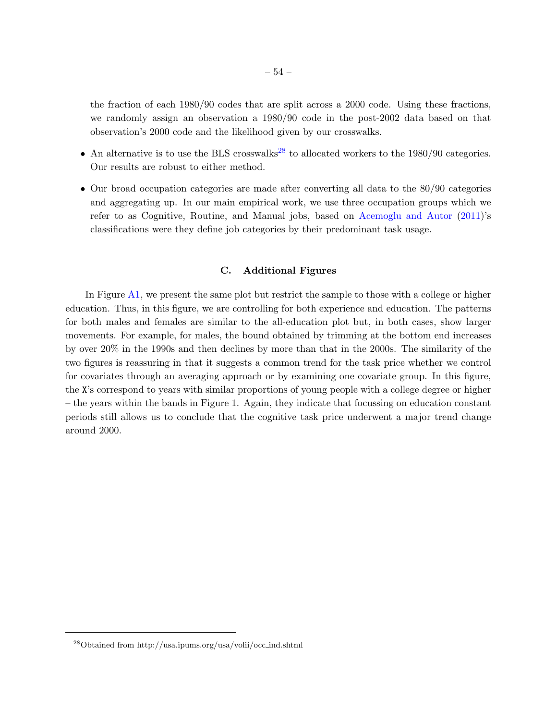the fraction of each 1980/90 codes that are split across a 2000 code. Using these fractions, we randomly assign an observation a 1980/90 code in the post-2002 data based on that observation's 2000 code and the likelihood given by our crosswalks.

- An alternative is to use the BLS crosswalks<sup>[28](#page-53-0)</sup> to allocated workers to the  $1980/90$  categories. Our results are robust to either method.
- Our broad occupation categories are made after converting all data to the 80/90 categories and aggregating up. In our main empirical work, we use three occupation groups which we refer to as Cognitive, Routine, and Manual jobs, based on [Acemoglu and Autor](#page-45-2) [\(2011\)](#page-45-2)'s classifications were they define job categories by their predominant task usage.

### C. Additional Figures

In Figure [A1,](#page-20-0) we present the same plot but restrict the sample to those with a college or higher education. Thus, in this figure, we are controlling for both experience and education. The patterns for both males and females are similar to the all-education plot but, in both cases, show larger movements. For example, for males, the bound obtained by trimming at the bottom end increases by over 20% in the 1990s and then declines by more than that in the 2000s. The similarity of the two figures is reassuring in that it suggests a common trend for the task price whether we control for covariates through an averaging approach or by examining one covariate group. In this figure, the X's correspond to years with similar proportions of young people with a college degree or higher – the years within the bands in Figure 1. Again, they indicate that focussing on education constant periods still allows us to conclude that the cognitive task price underwent a major trend change around 2000.

<span id="page-53-0"></span><sup>28</sup>Obtained from http://usa.ipums.org/usa/volii/occ ind.shtml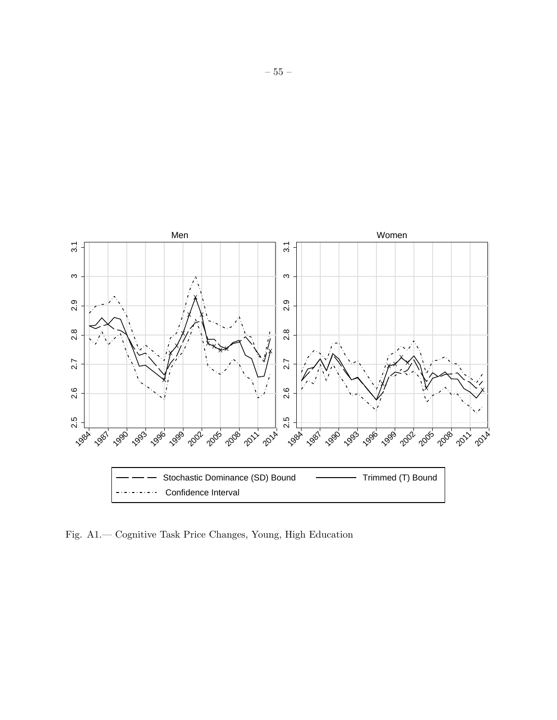

Fig. A1.— Cognitive Task Price Changes, Young, High Education